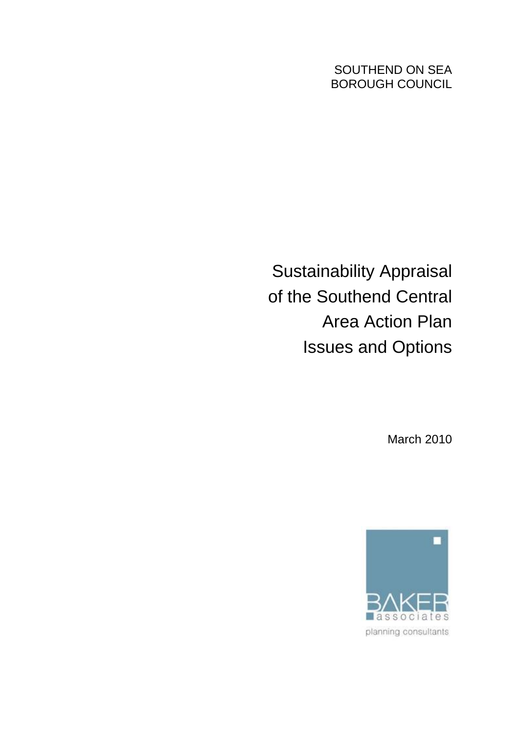SOUTHEND ON SEA BOROUGH COUNCIL

Sustainability Appraisal of the Southend Central Area Action Plan Issues and Options

March 2010

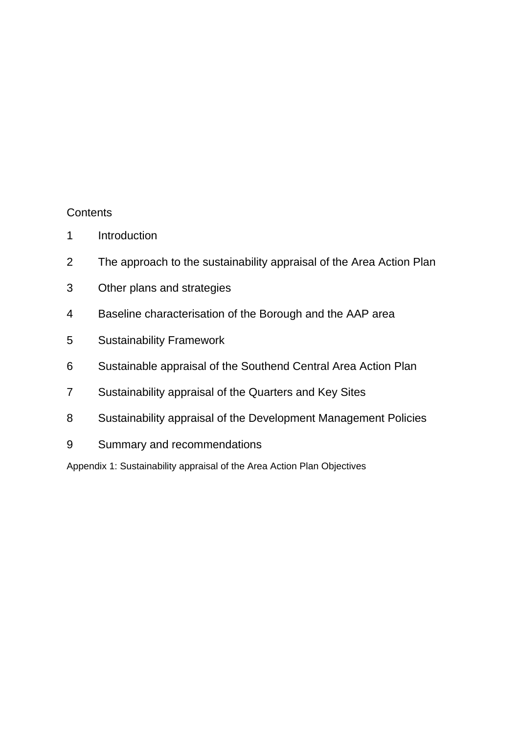# **Contents**

- 1 Introduction
- 2 The approach to the sustainability appraisal of the Area Action Plan
- 3 Other plans and strategies
- 4 Baseline characterisation of the Borough and the AAP area
- 5 Sustainability Framework
- 6 Sustainable appraisal of the Southend Central Area Action Plan
- 7 Sustainability appraisal of the Quarters and Key Sites
- 8 Sustainability appraisal of the Development Management Policies
- 9 Summary and recommendations

Appendix 1: Sustainability appraisal of the Area Action Plan Objectives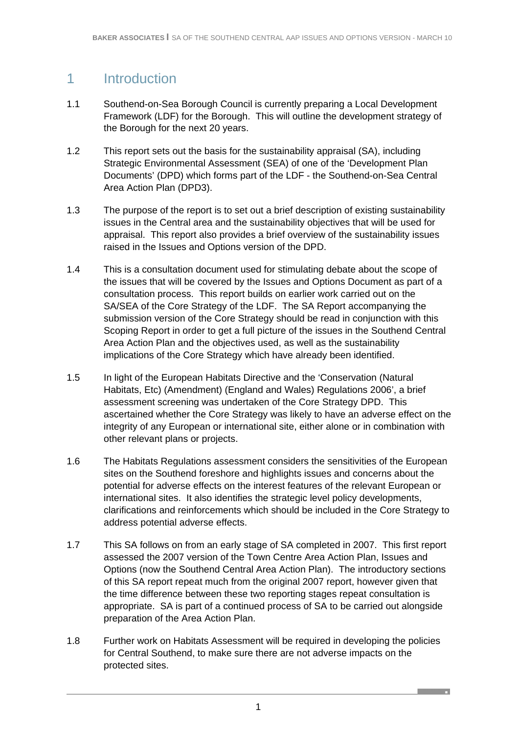# 1 Introduction

- 1.1 Southend-on-Sea Borough Council is currently preparing a Local Development Framework (LDF) for the Borough. This will outline the development strategy of the Borough for the next 20 years.
- 1.2 This report sets out the basis for the sustainability appraisal (SA), including Strategic Environmental Assessment (SEA) of one of the 'Development Plan Documents' (DPD) which forms part of the LDF - the Southend-on-Sea Central Area Action Plan (DPD3).
- 1.3 The purpose of the report is to set out a brief description of existing sustainability issues in the Central area and the sustainability objectives that will be used for appraisal. This report also provides a brief overview of the sustainability issues raised in the Issues and Options version of the DPD.
- 1.4 This is a consultation document used for stimulating debate about the scope of the issues that will be covered by the Issues and Options Document as part of a consultation process. This report builds on earlier work carried out on the SA/SEA of the Core Strategy of the LDF. The SA Report accompanying the submission version of the Core Strategy should be read in conjunction with this Scoping Report in order to get a full picture of the issues in the Southend Central Area Action Plan and the objectives used, as well as the sustainability implications of the Core Strategy which have already been identified.
- 1.5 In light of the European Habitats Directive and the 'Conservation (Natural Habitats, Etc) (Amendment) (England and Wales) Regulations 2006', a brief assessment screening was undertaken of the Core Strategy DPD. This ascertained whether the Core Strategy was likely to have an adverse effect on the integrity of any European or international site, either alone or in combination with other relevant plans or projects.
- 1.6 The Habitats Regulations assessment considers the sensitivities of the European sites on the Southend foreshore and highlights issues and concerns about the potential for adverse effects on the interest features of the relevant European or international sites. It also identifies the strategic level policy developments, clarifications and reinforcements which should be included in the Core Strategy to address potential adverse effects.
- 1.7 This SA follows on from an early stage of SA completed in 2007. This first report assessed the 2007 version of the Town Centre Area Action Plan, Issues and Options (now the Southend Central Area Action Plan). The introductory sections of this SA report repeat much from the original 2007 report, however given that the time difference between these two reporting stages repeat consultation is appropriate. SA is part of a continued process of SA to be carried out alongside preparation of the Area Action Plan.
- 1.8 Further work on Habitats Assessment will be required in developing the policies for Central Southend, to make sure there are not adverse impacts on the protected sites.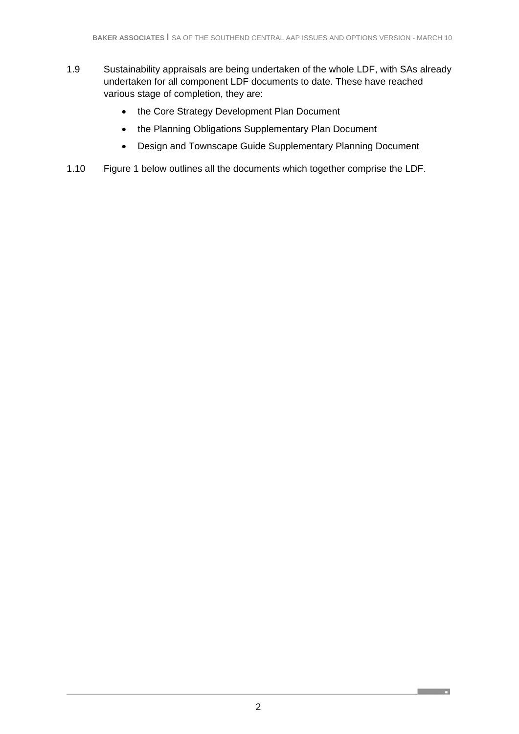- 1.9 Sustainability appraisals are being undertaken of the whole LDF, with SAs already undertaken for all component LDF documents to date. These have reached various stage of completion, they are:
	- the Core Strategy Development Plan Document
	- the Planning Obligations Supplementary Plan Document
	- Design and Townscape Guide Supplementary Planning Document
- 1.10 Figure 1 below outlines all the documents which together comprise the LDF.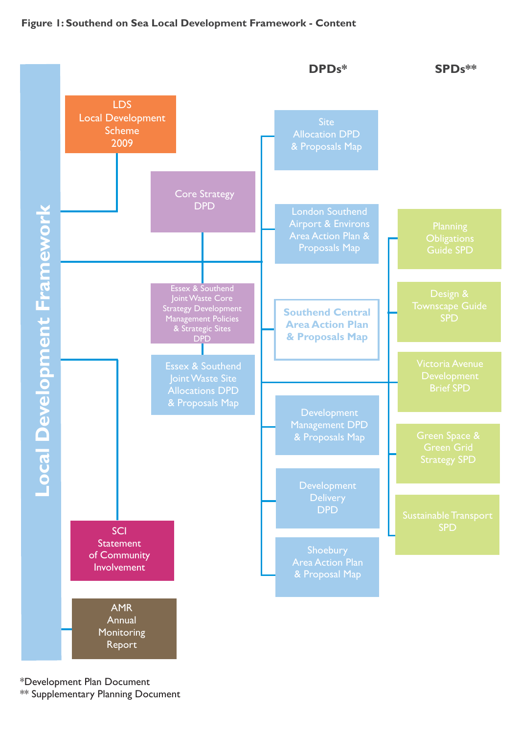#### **Figure 1: Southend on Sea Local Development Framework - Content**



\*Development Plan Document \*\* Supplementary Planning Document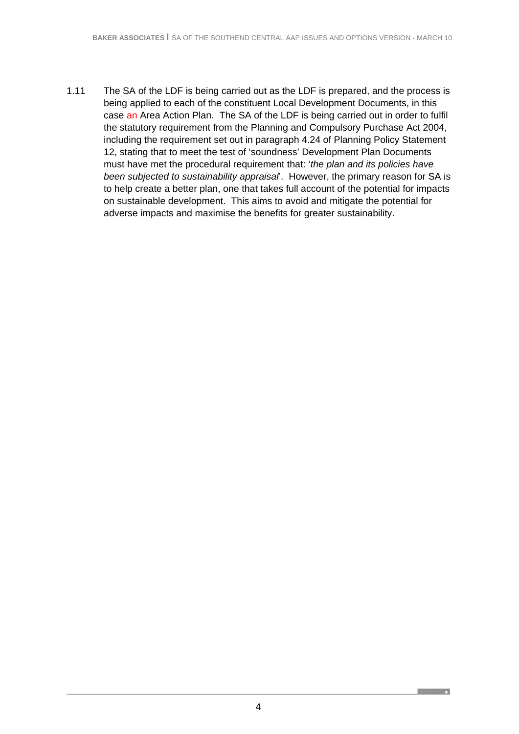1.11 The SA of the LDF is being carried out as the LDF is prepared, and the process is being applied to each of the constituent Local Development Documents, in this case an Area Action Plan. The SA of the LDF is being carried out in order to fulfil the statutory requirement from the Planning and Compulsory Purchase Act 2004, including the requirement set out in paragraph 4.24 of Planning Policy Statement 12, stating that to meet the test of 'soundness' Development Plan Documents must have met the procedural requirement that: '*the plan and its policies have been subjected to sustainability appraisal*'. However, the primary reason for SA is to help create a better plan, one that takes full account of the potential for impacts on sustainable development. This aims to avoid and mitigate the potential for adverse impacts and maximise the benefits for greater sustainability.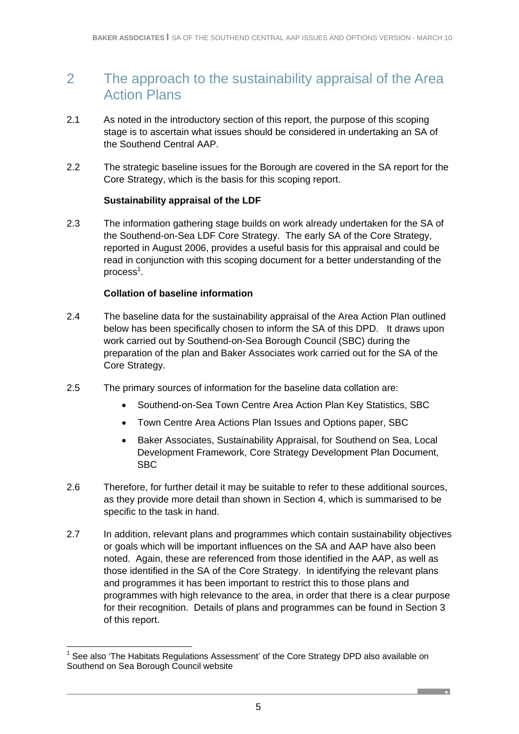# 2 The approach to the sustainability appraisal of the Area Action Plans

- 2.1 As noted in the introductory section of this report, the purpose of this scoping stage is to ascertain what issues should be considered in undertaking an SA of the Southend Central AAP.
- 2.2 The strategic baseline issues for the Borough are covered in the SA report for the Core Strategy, which is the basis for this scoping report.

#### **Sustainability appraisal of the LDF**

2.3 The information gathering stage builds on work already undertaken for the SA of the Southend-on-Sea LDF Core Strategy. The early SA of the Core Strategy, reported in August 2006, provides a useful basis for this appraisal and could be read in conjunction with this scoping document for a better understanding of the process<sup>1</sup>.

#### **Collation of baseline information**

-

- 2.4 The baseline data for the sustainability appraisal of the Area Action Plan outlined below has been specifically chosen to inform the SA of this DPD. It draws upon work carried out by Southend-on-Sea Borough Council (SBC) during the preparation of the plan and Baker Associates work carried out for the SA of the Core Strategy.
- 2.5 The primary sources of information for the baseline data collation are:
	- Southend-on-Sea Town Centre Area Action Plan Key Statistics, SBC
	- Town Centre Area Actions Plan Issues and Options paper, SBC
	- Baker Associates, Sustainability Appraisal, for Southend on Sea, Local Development Framework, Core Strategy Development Plan Document, SBC
- 2.6 Therefore, for further detail it may be suitable to refer to these additional sources, as they provide more detail than shown in Section 4, which is summarised to be specific to the task in hand.
- 2.7 In addition, relevant plans and programmes which contain sustainability objectives or goals which will be important influences on the SA and AAP have also been noted. Again, these are referenced from those identified in the AAP, as well as those identified in the SA of the Core Strategy. In identifying the relevant plans and programmes it has been important to restrict this to those plans and programmes with high relevance to the area, in order that there is a clear purpose for their recognition. Details of plans and programmes can be found in Section 3 of this report.

<sup>1</sup> See also 'The Habitats Regulations Assessment' of the Core Strategy DPD also available on Southend on Sea Borough Council website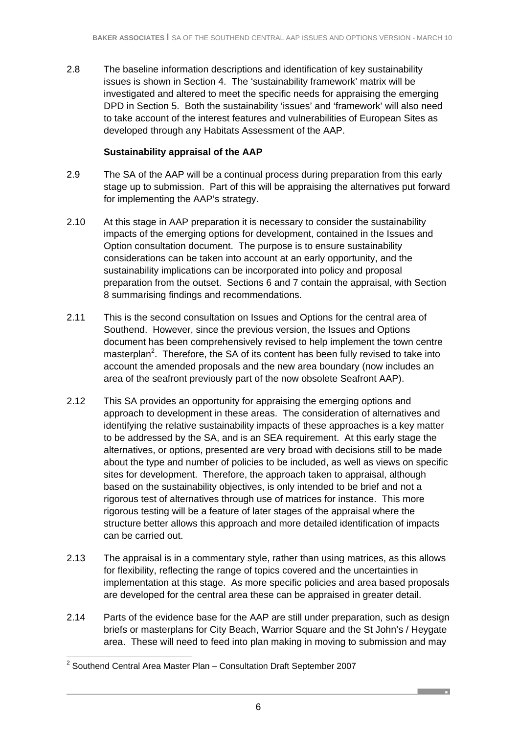2.8 The baseline information descriptions and identification of key sustainability issues is shown in Section 4. The 'sustainability framework' matrix will be investigated and altered to meet the specific needs for appraising the emerging DPD in Section 5. Both the sustainability 'issues' and 'framework' will also need to take account of the interest features and vulnerabilities of European Sites as developed through any Habitats Assessment of the AAP.

### **Sustainability appraisal of the AAP**

- 2.9 The SA of the AAP will be a continual process during preparation from this early stage up to submission. Part of this will be appraising the alternatives put forward for implementing the AAP's strategy.
- 2.10 At this stage in AAP preparation it is necessary to consider the sustainability impacts of the emerging options for development, contained in the Issues and Option consultation document. The purpose is to ensure sustainability considerations can be taken into account at an early opportunity, and the sustainability implications can be incorporated into policy and proposal preparation from the outset. Sections 6 and 7 contain the appraisal, with Section 8 summarising findings and recommendations.
- 2.11 This is the second consultation on Issues and Options for the central area of Southend. However, since the previous version, the Issues and Options document has been comprehensively revised to help implement the town centre masterplan<sup>2</sup>. Therefore, the SA of its content has been fully revised to take into account the amended proposals and the new area boundary (now includes an area of the seafront previously part of the now obsolete Seafront AAP).
- 2.12 This SA provides an opportunity for appraising the emerging options and approach to development in these areas. The consideration of alternatives and identifying the relative sustainability impacts of these approaches is a key matter to be addressed by the SA, and is an SEA requirement. At this early stage the alternatives, or options, presented are very broad with decisions still to be made about the type and number of policies to be included, as well as views on specific sites for development. Therefore, the approach taken to appraisal, although based on the sustainability objectives, is only intended to be brief and not a rigorous test of alternatives through use of matrices for instance. This more rigorous testing will be a feature of later stages of the appraisal where the structure better allows this approach and more detailed identification of impacts can be carried out.
- 2.13 The appraisal is in a commentary style, rather than using matrices, as this allows for flexibility, reflecting the range of topics covered and the uncertainties in implementation at this stage. As more specific policies and area based proposals are developed for the central area these can be appraised in greater detail.
- 2.14 Parts of the evidence base for the AAP are still under preparation, such as design briefs or masterplans for City Beach, Warrior Square and the St John's / Heygate area. These will need to feed into plan making in moving to submission and may

 2 Southend Central Area Master Plan – Consultation Draft September 2007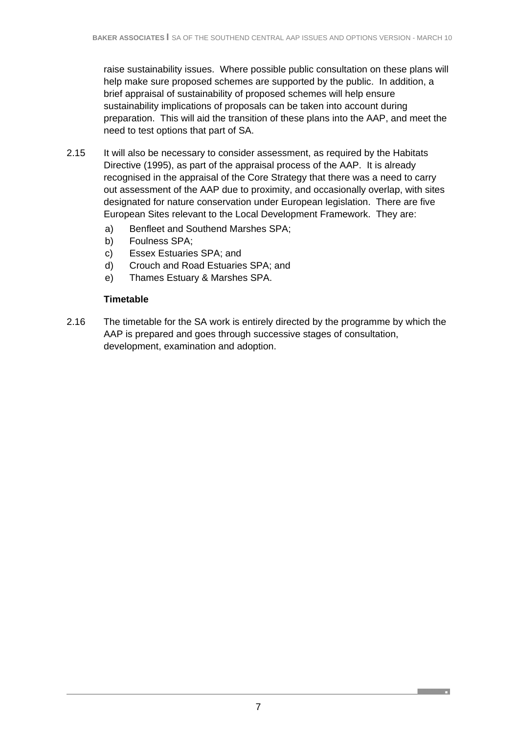raise sustainability issues. Where possible public consultation on these plans will help make sure proposed schemes are supported by the public. In addition, a brief appraisal of sustainability of proposed schemes will help ensure sustainability implications of proposals can be taken into account during preparation. This will aid the transition of these plans into the AAP, and meet the need to test options that part of SA.

- 2.15 It will also be necessary to consider assessment, as required by the Habitats Directive (1995), as part of the appraisal process of the AAP. It is already recognised in the appraisal of the Core Strategy that there was a need to carry out assessment of the AAP due to proximity, and occasionally overlap, with sites designated for nature conservation under European legislation. There are five European Sites relevant to the Local Development Framework. They are:
	- a) Benfleet and Southend Marshes SPA;
	- b) Foulness SPA;
	- c) Essex Estuaries SPA; and
	- d) Crouch and Road Estuaries SPA; and
	- e) Thames Estuary & Marshes SPA.

### **Timetable**

2.16 The timetable for the SA work is entirely directed by the programme by which the AAP is prepared and goes through successive stages of consultation, development, examination and adoption.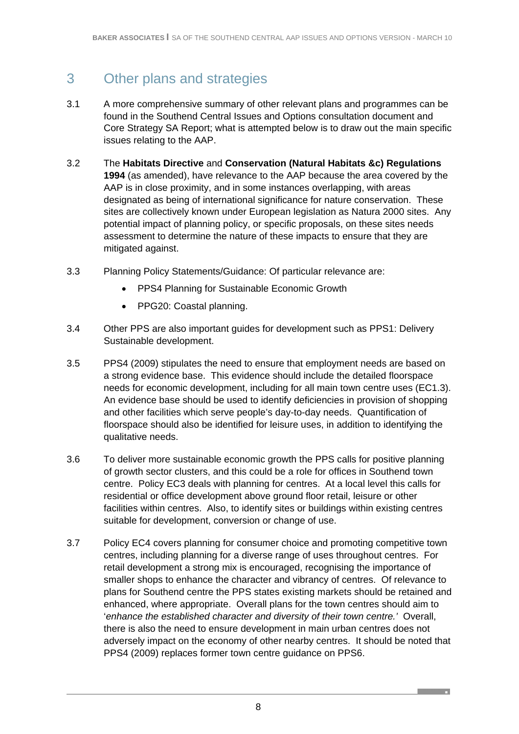# 3 Other plans and strategies

- 3.1 A more comprehensive summary of other relevant plans and programmes can be found in the Southend Central Issues and Options consultation document and Core Strategy SA Report; what is attempted below is to draw out the main specific issues relating to the AAP.
- 3.2 The **Habitats Directive** and **Conservation (Natural Habitats &c) Regulations 1994** (as amended), have relevance to the AAP because the area covered by the AAP is in close proximity, and in some instances overlapping, with areas designated as being of international significance for nature conservation. These sites are collectively known under European legislation as Natura 2000 sites. Any potential impact of planning policy, or specific proposals, on these sites needs assessment to determine the nature of these impacts to ensure that they are mitigated against.
- 3.3 Planning Policy Statements/Guidance: Of particular relevance are:
	- PPS4 Planning for Sustainable Economic Growth
	- PPG20: Coastal planning.
- 3.4 Other PPS are also important guides for development such as PPS1: Delivery Sustainable development.
- 3.5 PPS4 (2009) stipulates the need to ensure that employment needs are based on a strong evidence base. This evidence should include the detailed floorspace needs for economic development, including for all main town centre uses (EC1.3). An evidence base should be used to identify deficiencies in provision of shopping and other facilities which serve people's day-to-day needs. Quantification of floorspace should also be identified for leisure uses, in addition to identifying the qualitative needs.
- 3.6 To deliver more sustainable economic growth the PPS calls for positive planning of growth sector clusters, and this could be a role for offices in Southend town centre. Policy EC3 deals with planning for centres. At a local level this calls for residential or office development above ground floor retail, leisure or other facilities within centres. Also, to identify sites or buildings within existing centres suitable for development, conversion or change of use.
- 3.7 Policy EC4 covers planning for consumer choice and promoting competitive town centres, including planning for a diverse range of uses throughout centres. For retail development a strong mix is encouraged, recognising the importance of smaller shops to enhance the character and vibrancy of centres. Of relevance to plans for Southend centre the PPS states existing markets should be retained and enhanced, where appropriate. Overall plans for the town centres should aim to '*enhance the established character and diversity of their town centre.'* Overall, there is also the need to ensure development in main urban centres does not adversely impact on the economy of other nearby centres. It should be noted that PPS4 (2009) replaces former town centre guidance on PPS6.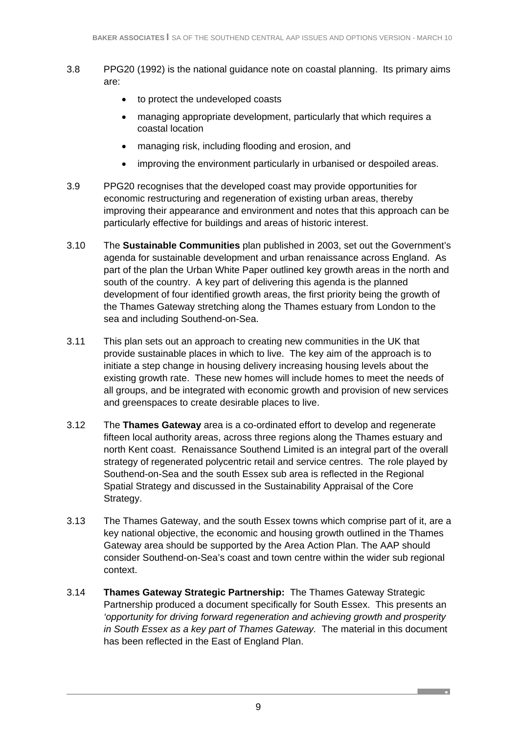- 3.8 PPG20 (1992) is the national guidance note on coastal planning. Its primary aims are:
	- to protect the undeveloped coasts
	- managing appropriate development, particularly that which requires a coastal location
	- managing risk, including flooding and erosion, and
	- improving the environment particularly in urbanised or despoiled areas.
- 3.9 PPG20 recognises that the developed coast may provide opportunities for economic restructuring and regeneration of existing urban areas, thereby improving their appearance and environment and notes that this approach can be particularly effective for buildings and areas of historic interest.
- 3.10 The **Sustainable Communities** plan published in 2003, set out the Government's agenda for sustainable development and urban renaissance across England. As part of the plan the Urban White Paper outlined key growth areas in the north and south of the country. A key part of delivering this agenda is the planned development of four identified growth areas, the first priority being the growth of the Thames Gateway stretching along the Thames estuary from London to the sea and including Southend-on-Sea.
- 3.11 This plan sets out an approach to creating new communities in the UK that provide sustainable places in which to live. The key aim of the approach is to initiate a step change in housing delivery increasing housing levels about the existing growth rate. These new homes will include homes to meet the needs of all groups, and be integrated with economic growth and provision of new services and greenspaces to create desirable places to live.
- 3.12 The **Thames Gateway** area is a co-ordinated effort to develop and regenerate fifteen local authority areas, across three regions along the Thames estuary and north Kent coast. Renaissance Southend Limited is an integral part of the overall strategy of regenerated polycentric retail and service centres. The role played by Southend-on-Sea and the south Essex sub area is reflected in the Regional Spatial Strategy and discussed in the Sustainability Appraisal of the Core Strategy.
- 3.13 The Thames Gateway, and the south Essex towns which comprise part of it, are a key national objective, the economic and housing growth outlined in the Thames Gateway area should be supported by the Area Action Plan. The AAP should consider Southend-on-Sea's coast and town centre within the wider sub regional context.
- 3.14 **Thames Gateway Strategic Partnership:** The Thames Gateway Strategic Partnership produced a document specifically for South Essex. This presents an *'opportunity for driving forward regeneration and achieving growth and prosperity in South Essex as a key part of Thames Gateway.* The material in this document has been reflected in the East of England Plan.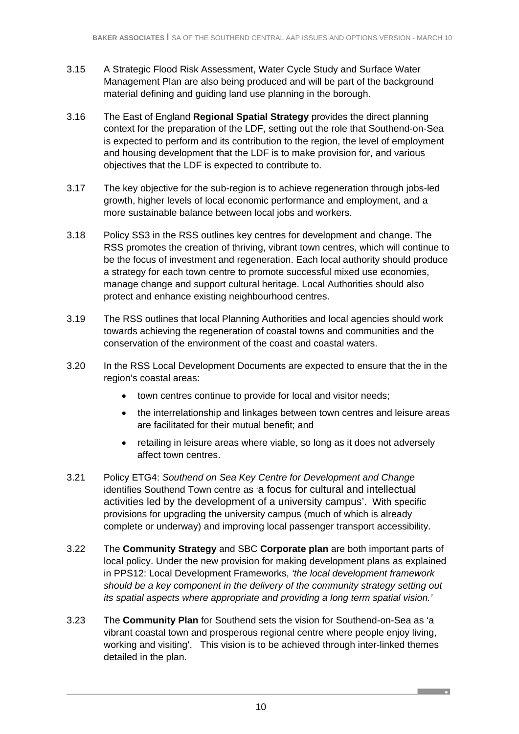- 3.15 A Strategic Flood Risk Assessment, Water Cycle Study and Surface Water Management Plan are also being produced and will be part of the background material defining and guiding land use planning in the borough.
- 3.16 The East of England **Regional Spatial Strategy** provides the direct planning context for the preparation of the LDF, setting out the role that Southend-on-Sea is expected to perform and its contribution to the region, the level of employment and housing development that the LDF is to make provision for, and various objectives that the LDF is expected to contribute to.
- 3.17 The key objective for the sub-region is to achieve regeneration through jobs-led growth, higher levels of local economic performance and employment, and a more sustainable balance between local jobs and workers.
- 3.18 Policy SS3 in the RSS outlines key centres for development and change. The RSS promotes the creation of thriving, vibrant town centres, which will continue to be the focus of investment and regeneration. Each local authority should produce a strategy for each town centre to promote successful mixed use economies, manage change and support cultural heritage. Local Authorities should also protect and enhance existing neighbourhood centres.
- 3.19 The RSS outlines that local Planning Authorities and local agencies should work towards achieving the regeneration of coastal towns and communities and the conservation of the environment of the coast and coastal waters.
- 3.20 In the RSS Local Development Documents are expected to ensure that the in the region's coastal areas:
	- town centres continue to provide for local and visitor needs;
	- the interrelationship and linkages between town centres and leisure areas are facilitated for their mutual benefit; and
	- retailing in leisure areas where viable, so long as it does not adversely affect town centres.
- 3.21 Policy ETG4: *Southend on Sea Key Centre for Development and Change* identifies Southend Town centre as 'a focus for cultural and intellectual activities led by the development of a university campus'. With specific provisions for upgrading the university campus (much of which is already complete or underway) and improving local passenger transport accessibility.
- 3.22 The **Community Strategy** and SBC **Corporate plan** are both important parts of local policy. Under the new provision for making development plans as explained in PPS12: Local Development Frameworks, *'the local development framework should be a key component in the delivery of the community strategy setting out its spatial aspects where appropriate and providing a long term spatial vision.'*
- 3.23 The **Community Plan** for Southend sets the vision for Southend-on-Sea as 'a vibrant coastal town and prosperous regional centre where people enjoy living, working and visiting'. This vision is to be achieved through inter-linked themes detailed in the plan.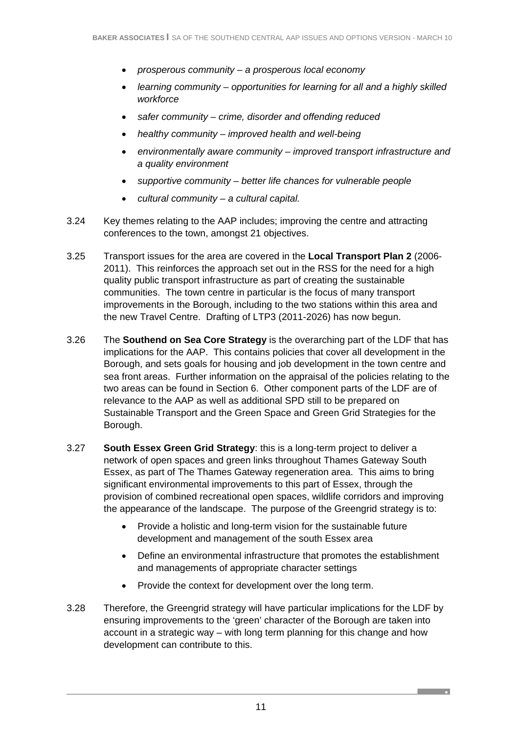- *prosperous community a prosperous local economy*
- *learning community opportunities for learning for all and a highly skilled workforce*
- *safer community crime, disorder and offending reduced*
- *healthy community improved health and well-being*
- *environmentally aware community improved transport infrastructure and a quality environment*
- *supportive community better life chances for vulnerable people*
- *cultural community a cultural capital.*
- 3.24 Key themes relating to the AAP includes; improving the centre and attracting conferences to the town, amongst 21 objectives.
- 3.25 Transport issues for the area are covered in the **Local Transport Plan 2** (2006- 2011). This reinforces the approach set out in the RSS for the need for a high quality public transport infrastructure as part of creating the sustainable communities. The town centre in particular is the focus of many transport improvements in the Borough, including to the two stations within this area and the new Travel Centre. Drafting of LTP3 (2011-2026) has now begun.
- 3.26 The **Southend on Sea Core Strategy** is the overarching part of the LDF that has implications for the AAP. This contains policies that cover all development in the Borough, and sets goals for housing and job development in the town centre and sea front areas. Further information on the appraisal of the policies relating to the two areas can be found in Section 6. Other component parts of the LDF are of relevance to the AAP as well as additional SPD still to be prepared on Sustainable Transport and the Green Space and Green Grid Strategies for the Borough.
- 3.27 **South Essex Green Grid Strategy**: this is a long-term project to deliver a network of open spaces and green links throughout Thames Gateway South Essex, as part of The Thames Gateway regeneration area. This aims to bring significant environmental improvements to this part of Essex, through the provision of combined recreational open spaces, wildlife corridors and improving the appearance of the landscape. The purpose of the Greengrid strategy is to:
	- Provide a holistic and long-term vision for the sustainable future development and management of the south Essex area
	- Define an environmental infrastructure that promotes the establishment and managements of appropriate character settings
	- Provide the context for development over the long term.
- 3.28 Therefore, the Greengrid strategy will have particular implications for the LDF by ensuring improvements to the 'green' character of the Borough are taken into account in a strategic way – with long term planning for this change and how development can contribute to this.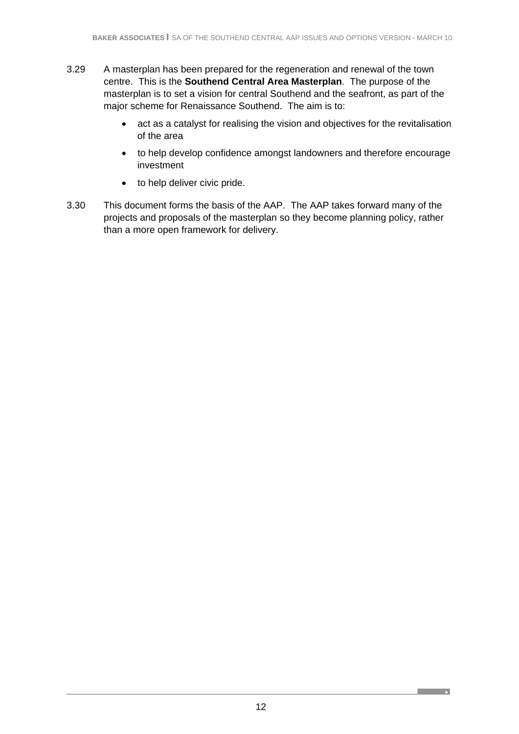- 3.29 A masterplan has been prepared for the regeneration and renewal of the town centre. This is the **Southend Central Area Masterplan**. The purpose of the masterplan is to set a vision for central Southend and the seafront, as part of the major scheme for Renaissance Southend. The aim is to:
	- act as a catalyst for realising the vision and objectives for the revitalisation of the area
	- to help develop confidence amongst landowners and therefore encourage investment
	- to help deliver civic pride.
- 3.30 This document forms the basis of the AAP. The AAP takes forward many of the projects and proposals of the masterplan so they become planning policy, rather than a more open framework for delivery.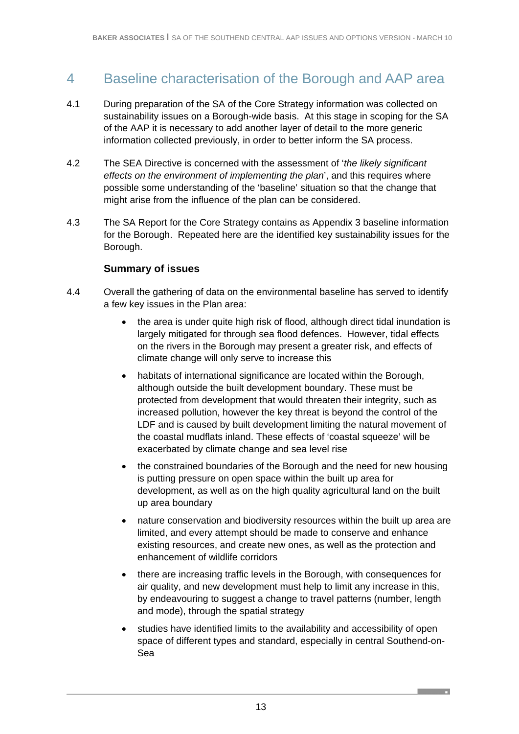# 4 Baseline characterisation of the Borough and AAP area

- 4.1 During preparation of the SA of the Core Strategy information was collected on sustainability issues on a Borough-wide basis. At this stage in scoping for the SA of the AAP it is necessary to add another layer of detail to the more generic information collected previously, in order to better inform the SA process.
- 4.2 The SEA Directive is concerned with the assessment of '*the likely significant effects on the environment of implementing the plan*', and this requires where possible some understanding of the 'baseline' situation so that the change that might arise from the influence of the plan can be considered.
- 4.3 The SA Report for the Core Strategy contains as Appendix 3 baseline information for the Borough. Repeated here are the identified key sustainability issues for the Borough.

### **Summary of issues**

- 4.4 Overall the gathering of data on the environmental baseline has served to identify a few key issues in the Plan area:
	- the area is under quite high risk of flood, although direct tidal inundation is largely mitigated for through sea flood defences. However, tidal effects on the rivers in the Borough may present a greater risk, and effects of climate change will only serve to increase this
	- habitats of international significance are located within the Borough, although outside the built development boundary. These must be protected from development that would threaten their integrity, such as increased pollution, however the key threat is beyond the control of the LDF and is caused by built development limiting the natural movement of the coastal mudflats inland. These effects of 'coastal squeeze' will be exacerbated by climate change and sea level rise
	- the constrained boundaries of the Borough and the need for new housing is putting pressure on open space within the built up area for development, as well as on the high quality agricultural land on the built up area boundary
	- nature conservation and biodiversity resources within the built up area are limited, and every attempt should be made to conserve and enhance existing resources, and create new ones, as well as the protection and enhancement of wildlife corridors
	- there are increasing traffic levels in the Borough, with consequences for air quality, and new development must help to limit any increase in this, by endeavouring to suggest a change to travel patterns (number, length and mode), through the spatial strategy
	- studies have identified limits to the availability and accessibility of open space of different types and standard, especially in central Southend-on-Sea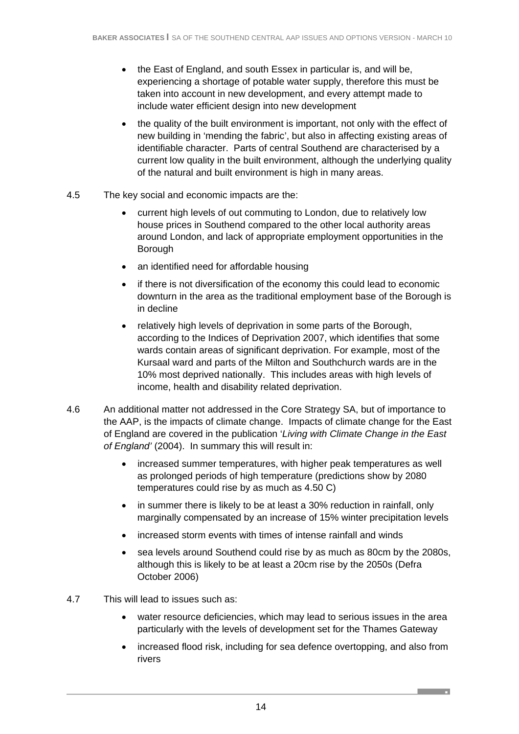- the East of England, and south Essex in particular is, and will be, experiencing a shortage of potable water supply, therefore this must be taken into account in new development, and every attempt made to include water efficient design into new development
- the quality of the built environment is important, not only with the effect of new building in 'mending the fabric', but also in affecting existing areas of identifiable character. Parts of central Southend are characterised by a current low quality in the built environment, although the underlying quality of the natural and built environment is high in many areas.
- 4.5 The key social and economic impacts are the:
	- current high levels of out commuting to London, due to relatively low house prices in Southend compared to the other local authority areas around London, and lack of appropriate employment opportunities in the Borough
	- an identified need for affordable housing
	- if there is not diversification of the economy this could lead to economic downturn in the area as the traditional employment base of the Borough is in decline
	- relatively high levels of deprivation in some parts of the Borough, according to the Indices of Deprivation 2007, which identifies that some wards contain areas of significant deprivation. For example, most of the Kursaal ward and parts of the Milton and Southchurch wards are in the 10% most deprived nationally. This includes areas with high levels of income, health and disability related deprivation.
- 4.6 An additional matter not addressed in the Core Strategy SA, but of importance to the AAP, is the impacts of climate change. Impacts of climate change for the East of England are covered in the publication '*Living with Climate Change in the East of England'* (2004). In summary this will result in:
	- increased summer temperatures, with higher peak temperatures as well as prolonged periods of high temperature (predictions show by 2080 temperatures could rise by as much as 4.50 C)
	- in summer there is likely to be at least a 30% reduction in rainfall, only marginally compensated by an increase of 15% winter precipitation levels
	- increased storm events with times of intense rainfall and winds
	- sea levels around Southend could rise by as much as 80cm by the 2080s, although this is likely to be at least a 20cm rise by the 2050s (Defra October 2006)
- 4.7 This will lead to issues such as:
	- water resource deficiencies, which may lead to serious issues in the area particularly with the levels of development set for the Thames Gateway
	- increased flood risk, including for sea defence overtopping, and also from rivers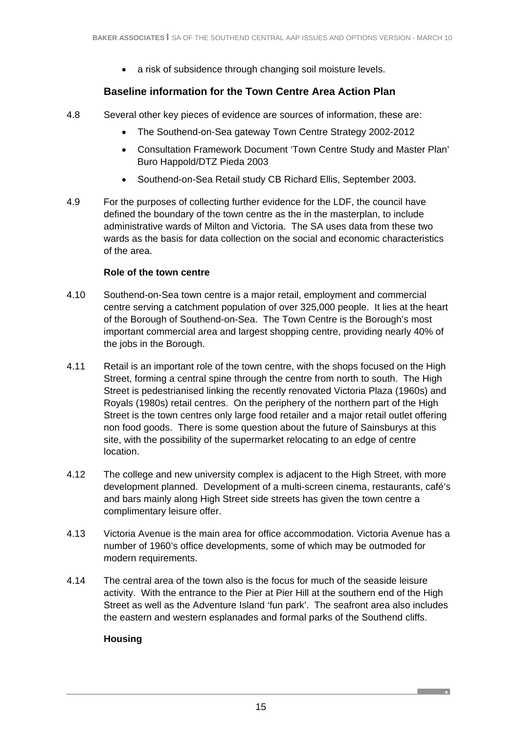• a risk of subsidence through changing soil moisture levels.

# **Baseline information for the Town Centre Area Action Plan**

- 4.8 Several other key pieces of evidence are sources of information, these are:
	- The Southend-on-Sea gateway Town Centre Strategy 2002-2012
	- Consultation Framework Document 'Town Centre Study and Master Plan' Buro Happold/DTZ Pieda 2003
	- Southend-on-Sea Retail study CB Richard Ellis, September 2003.
- 4.9 For the purposes of collecting further evidence for the LDF, the council have defined the boundary of the town centre as the in the masterplan, to include administrative wards of Milton and Victoria. The SA uses data from these two wards as the basis for data collection on the social and economic characteristics of the area.

### **Role of the town centre**

- 4.10 Southend-on-Sea town centre is a major retail, employment and commercial centre serving a catchment population of over 325,000 people. It lies at the heart of the Borough of Southend-on-Sea. The Town Centre is the Borough's most important commercial area and largest shopping centre, providing nearly 40% of the jobs in the Borough.
- 4.11 Retail is an important role of the town centre, with the shops focused on the High Street, forming a central spine through the centre from north to south. The High Street is pedestrianised linking the recently renovated Victoria Plaza (1960s) and Royals (1980s) retail centres. On the periphery of the northern part of the High Street is the town centres only large food retailer and a major retail outlet offering non food goods. There is some question about the future of Sainsburys at this site, with the possibility of the supermarket relocating to an edge of centre location.
- 4.12 The college and new university complex is adjacent to the High Street, with more development planned. Development of a multi-screen cinema, restaurants, café's and bars mainly along High Street side streets has given the town centre a complimentary leisure offer.
- 4.13 Victoria Avenue is the main area for office accommodation. Victoria Avenue has a number of 1960's office developments, some of which may be outmoded for modern requirements.
- 4.14 The central area of the town also is the focus for much of the seaside leisure activity. With the entrance to the Pier at Pier Hill at the southern end of the High Street as well as the Adventure Island 'fun park'. The seafront area also includes the eastern and western esplanades and formal parks of the Southend cliffs.

### **Housing**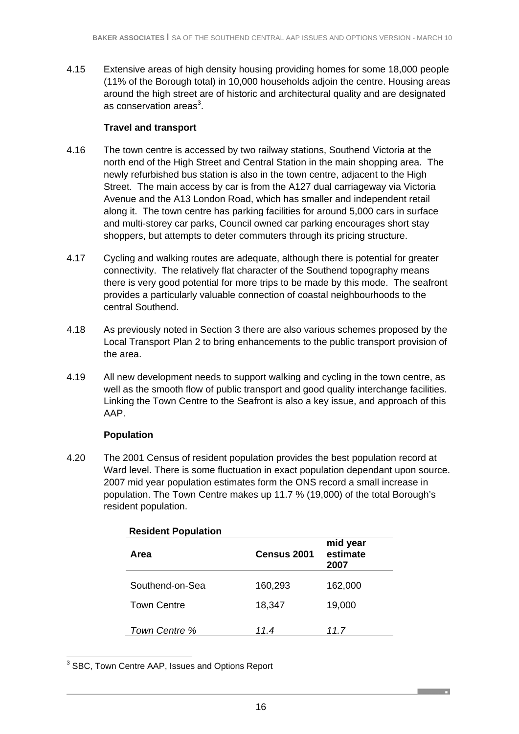4.15 Extensive areas of high density housing providing homes for some 18,000 people (11% of the Borough total) in 10,000 households adjoin the centre. Housing areas around the high street are of historic and architectural quality and are designated as conservation areas $^3$ .

### **Travel and transport**

- 4.16 The town centre is accessed by two railway stations, Southend Victoria at the north end of the High Street and Central Station in the main shopping area. The newly refurbished bus station is also in the town centre, adjacent to the High Street. The main access by car is from the A127 dual carriageway via Victoria Avenue and the A13 London Road, which has smaller and independent retail along it. The town centre has parking facilities for around 5,000 cars in surface and multi-storey car parks, Council owned car parking encourages short stay shoppers, but attempts to deter commuters through its pricing structure.
- 4.17 Cycling and walking routes are adequate, although there is potential for greater connectivity. The relatively flat character of the Southend topography means there is very good potential for more trips to be made by this mode. The seafront provides a particularly valuable connection of coastal neighbourhoods to the central Southend.
- 4.18 As previously noted in Section 3 there are also various schemes proposed by the Local Transport Plan 2 to bring enhancements to the public transport provision of the area.
- 4.19 All new development needs to support walking and cycling in the town centre, as well as the smooth flow of public transport and good quality interchange facilities. Linking the Town Centre to the Seafront is also a key issue, and approach of this AAP.

# **Population**

4.20 The 2001 Census of resident population provides the best population record at Ward level. There is some fluctuation in exact population dependant upon source. 2007 mid year population estimates form the ONS record a small increase in population. The Town Centre makes up 11.7 % (19,000) of the total Borough's resident population.

| Area               | Census 2001 | mid year<br>estimate<br>2007 |
|--------------------|-------------|------------------------------|
| Southend-on-Sea    | 160,293     | 162,000                      |
| <b>Town Centre</b> | 18,347      | 19,000                       |
| Town Centre %      | 11.4        | 11.7                         |

### **Resident Population**

3 SBC, Town Centre AAP, Issues and Options Report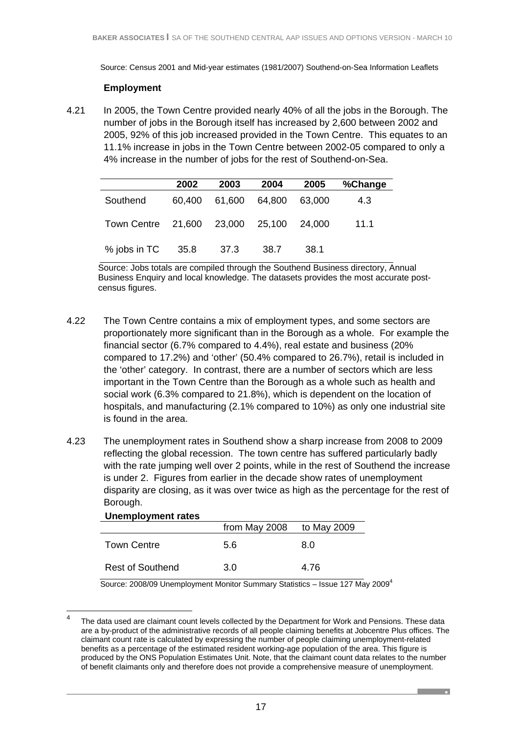Source: Census 2001 and Mid-year estimates (1981/2007) Southend-on-Sea Information Leaflets

#### **Employment**

4.21 In 2005, the Town Centre provided nearly 40% of all the jobs in the Borough. The number of jobs in the Borough itself has increased by 2,600 between 2002 and 2005, 92% of this job increased provided in the Town Centre. This equates to an 11.1% increase in jobs in the Town Centre between 2002-05 compared to only a 4% increase in the number of jobs for the rest of Southend-on-Sea.

|                                         | 2002   | 2003          | 2004 | 2005   | %Change |
|-----------------------------------------|--------|---------------|------|--------|---------|
| Southend                                | 60,400 | 61,600 64,800 |      | 63.000 | 4.3     |
| Town Centre 21,600 23,000 25,100 24,000 |        |               |      |        | 11.1    |
| % jobs in TC                            | 35.8   | - 37.3        | 38.7 | 38.1   |         |

Source: Jobs totals are compiled through the Southend Business directory, Annual Business Enquiry and local knowledge. The datasets provides the most accurate postcensus figures.

- 4.22 The Town Centre contains a mix of employment types, and some sectors are proportionately more significant than in the Borough as a whole. For example the financial sector (6.7% compared to 4.4%), real estate and business (20% compared to 17.2%) and 'other' (50.4% compared to 26.7%), retail is included in the 'other' category. In contrast, there are a number of sectors which are less important in the Town Centre than the Borough as a whole such as health and social work (6.3% compared to 21.8%), which is dependent on the location of hospitals, and manufacturing (2.1% compared to 10%) as only one industrial site is found in the area.
- 4.23 The unemployment rates in Southend show a sharp increase from 2008 to 2009 reflecting the global recession. The town centre has suffered particularly badly with the rate jumping well over 2 points, while in the rest of Southend the increase is under 2. Figures from earlier in the decade show rates of unemployment disparity are closing, as it was over twice as high as the percentage for the rest of Borough.

| <b>Unemployment rates</b> |               |             |
|---------------------------|---------------|-------------|
|                           | from May 2008 | to May 2009 |
| <b>Town Centre</b>        | 5.6           | 8.0         |
| <b>Rest of Southend</b>   | 3.0           | 4.76        |

**Unemployment rates** 

Source: 2008/09 Unemployment Monitor Summary Statistics - Issue 127 May 2009<sup>4</sup>

 $\frac{1}{4}$  The data used are claimant count levels collected by the Department for Work and Pensions. These data are a by-product of the administrative records of all people claiming benefits at Jobcentre Plus offices. The claimant count rate is calculated by expressing the number of people claiming unemployment-related benefits as a percentage of the estimated resident working-age population of the area. This figure is produced by the ONS Population Estimates Unit. Note, that the claimant count data relates to the number of benefit claimants only and therefore does not provide a comprehensive measure of unemployment.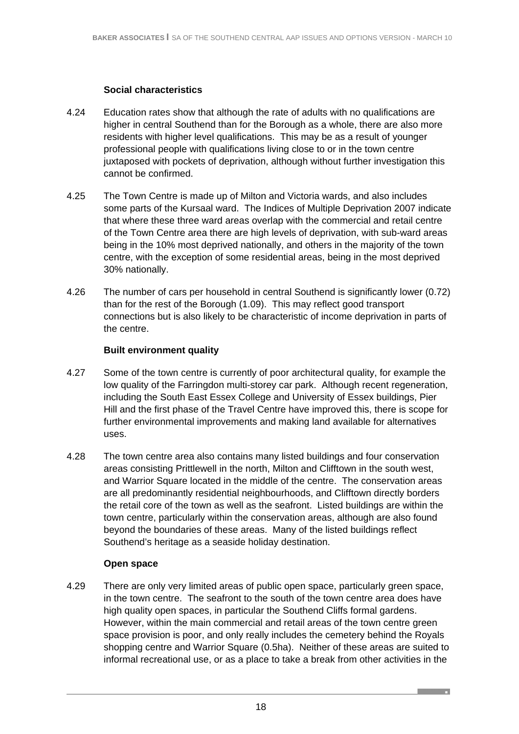### **Social characteristics**

- 4.24 Education rates show that although the rate of adults with no qualifications are higher in central Southend than for the Borough as a whole, there are also more residents with higher level qualifications. This may be as a result of younger professional people with qualifications living close to or in the town centre juxtaposed with pockets of deprivation, although without further investigation this cannot be confirmed.
- 4.25 The Town Centre is made up of Milton and Victoria wards, and also includes some parts of the Kursaal ward. The Indices of Multiple Deprivation 2007 indicate that where these three ward areas overlap with the commercial and retail centre of the Town Centre area there are high levels of deprivation, with sub-ward areas being in the 10% most deprived nationally, and others in the majority of the town centre, with the exception of some residential areas, being in the most deprived 30% nationally.
- 4.26 The number of cars per household in central Southend is significantly lower (0.72) than for the rest of the Borough (1.09). This may reflect good transport connections but is also likely to be characteristic of income deprivation in parts of the centre.

### **Built environment quality**

- 4.27 Some of the town centre is currently of poor architectural quality, for example the low quality of the Farringdon multi-storey car park. Although recent regeneration, including the South East Essex College and University of Essex buildings, Pier Hill and the first phase of the Travel Centre have improved this, there is scope for further environmental improvements and making land available for alternatives uses.
- 4.28 The town centre area also contains many listed buildings and four conservation areas consisting Prittlewell in the north, Milton and Clifftown in the south west, and Warrior Square located in the middle of the centre. The conservation areas are all predominantly residential neighbourhoods, and Clifftown directly borders the retail core of the town as well as the seafront. Listed buildings are within the town centre, particularly within the conservation areas, although are also found beyond the boundaries of these areas. Many of the listed buildings reflect Southend's heritage as a seaside holiday destination.

### **Open space**

4.29 There are only very limited areas of public open space, particularly green space, in the town centre. The seafront to the south of the town centre area does have high quality open spaces, in particular the Southend Cliffs formal gardens. However, within the main commercial and retail areas of the town centre green space provision is poor, and only really includes the cemetery behind the Royals shopping centre and Warrior Square (0.5ha). Neither of these areas are suited to informal recreational use, or as a place to take a break from other activities in the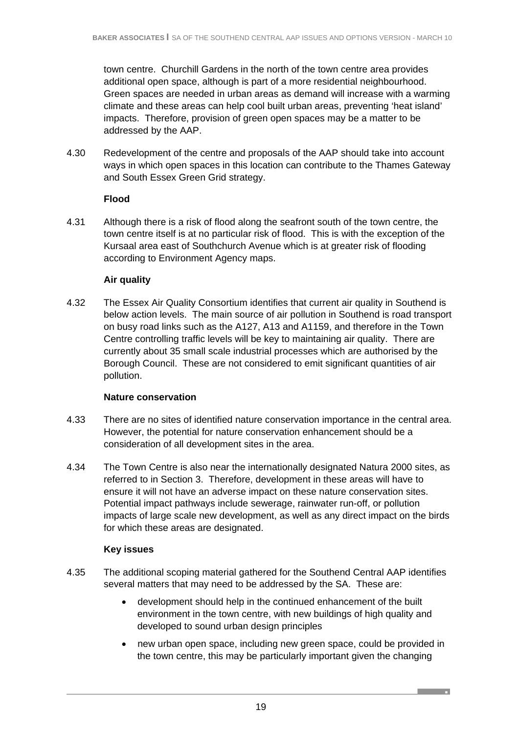town centre. Churchill Gardens in the north of the town centre area provides additional open space, although is part of a more residential neighbourhood. Green spaces are needed in urban areas as demand will increase with a warming climate and these areas can help cool built urban areas, preventing 'heat island' impacts. Therefore, provision of green open spaces may be a matter to be addressed by the AAP.

4.30 Redevelopment of the centre and proposals of the AAP should take into account ways in which open spaces in this location can contribute to the Thames Gateway and South Essex Green Grid strategy.

### **Flood**

4.31 Although there is a risk of flood along the seafront south of the town centre, the town centre itself is at no particular risk of flood. This is with the exception of the Kursaal area east of Southchurch Avenue which is at greater risk of flooding according to Environment Agency maps.

#### **Air quality**

4.32 The Essex Air Quality Consortium identifies that current air quality in Southend is below action levels. The main source of air pollution in Southend is road transport on busy road links such as the A127, A13 and A1159, and therefore in the Town Centre controlling traffic levels will be key to maintaining air quality. There are currently about 35 small scale industrial processes which are authorised by the Borough Council. These are not considered to emit significant quantities of air pollution.

#### **Nature conservation**

- 4.33 There are no sites of identified nature conservation importance in the central area. However, the potential for nature conservation enhancement should be a consideration of all development sites in the area.
- 4.34 The Town Centre is also near the internationally designated Natura 2000 sites, as referred to in Section 3. Therefore, development in these areas will have to ensure it will not have an adverse impact on these nature conservation sites. Potential impact pathways include sewerage, rainwater run-off, or pollution impacts of large scale new development, as well as any direct impact on the birds for which these areas are designated.

### **Key issues**

- 4.35 The additional scoping material gathered for the Southend Central AAP identifies several matters that may need to be addressed by the SA. These are:
	- development should help in the continued enhancement of the built environment in the town centre, with new buildings of high quality and developed to sound urban design principles
	- new urban open space, including new green space, could be provided in the town centre, this may be particularly important given the changing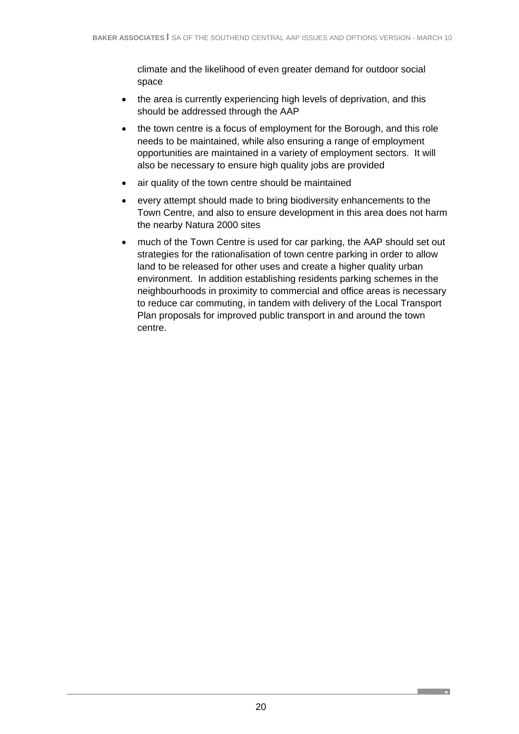climate and the likelihood of even greater demand for outdoor social space

- the area is currently experiencing high levels of deprivation, and this should be addressed through the AAP
- the town centre is a focus of employment for the Borough, and this role needs to be maintained, while also ensuring a range of employment opportunities are maintained in a variety of employment sectors. It will also be necessary to ensure high quality jobs are provided
- air quality of the town centre should be maintained
- every attempt should made to bring biodiversity enhancements to the Town Centre, and also to ensure development in this area does not harm the nearby Natura 2000 sites
- much of the Town Centre is used for car parking, the AAP should set out strategies for the rationalisation of town centre parking in order to allow land to be released for other uses and create a higher quality urban environment. In addition establishing residents parking schemes in the neighbourhoods in proximity to commercial and office areas is necessary to reduce car commuting, in tandem with delivery of the Local Transport Plan proposals for improved public transport in and around the town centre.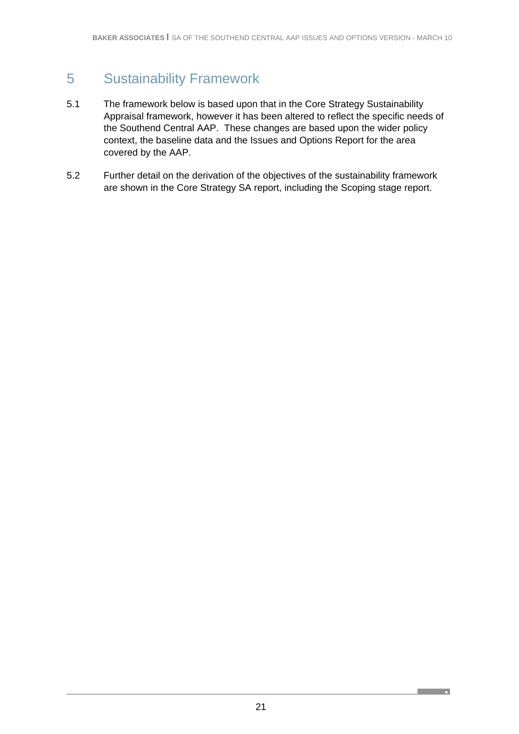# 5 Sustainability Framework

- 5.1 The framework below is based upon that in the Core Strategy Sustainability Appraisal framework, however it has been altered to reflect the specific needs of the Southend Central AAP. These changes are based upon the wider policy context, the baseline data and the Issues and Options Report for the area covered by the AAP.
- 5.2 Further detail on the derivation of the objectives of the sustainability framework are shown in the Core Strategy SA report, including the Scoping stage report.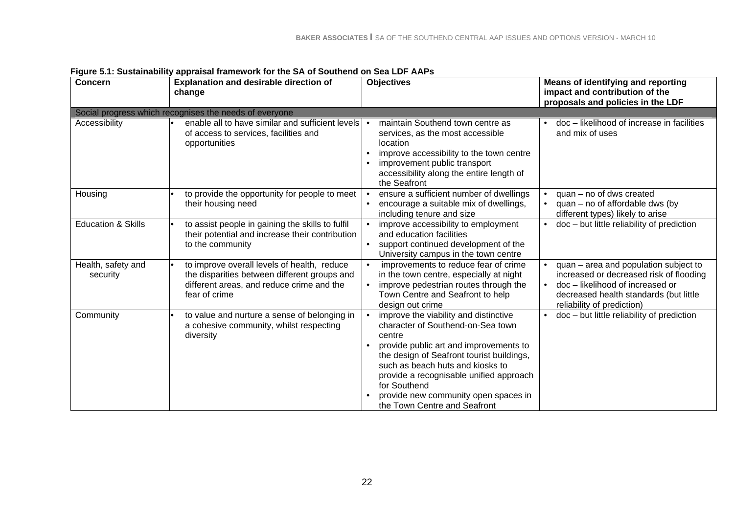| <b>Concern</b>                 | <b>Explanation and desirable direction of</b>                                                                                                             | <b>Objectives</b>                                                                                                                                                                                                                                                                                                                                               | <b>Means of identifying and reporting</b>                                                                                                                                                  |
|--------------------------------|-----------------------------------------------------------------------------------------------------------------------------------------------------------|-----------------------------------------------------------------------------------------------------------------------------------------------------------------------------------------------------------------------------------------------------------------------------------------------------------------------------------------------------------------|--------------------------------------------------------------------------------------------------------------------------------------------------------------------------------------------|
|                                | change                                                                                                                                                    |                                                                                                                                                                                                                                                                                                                                                                 | impact and contribution of the<br>proposals and policies in the LDF                                                                                                                        |
|                                | Social progress which recognises the needs of everyone                                                                                                    |                                                                                                                                                                                                                                                                                                                                                                 |                                                                                                                                                                                            |
| Accessibility                  | enable all to have similar and sufficient levels<br>of access to services, facilities and<br>opportunities                                                | maintain Southend town centre as<br>services, as the most accessible<br>location<br>improve accessibility to the town centre<br>$\bullet$<br>improvement public transport<br>accessibility along the entire length of<br>the Seafront                                                                                                                           | doc - likelihood of increase in facilities<br>and mix of uses                                                                                                                              |
| Housing                        | to provide the opportunity for people to meet<br>their housing need                                                                                       | ensure a sufficient number of dwellings<br>encourage a suitable mix of dwellings,<br>$\bullet$<br>including tenure and size                                                                                                                                                                                                                                     | quan - no of dws created<br>$quan - no$ of affordable dws (by<br>different types) likely to arise                                                                                          |
| <b>Education &amp; Skills</b>  | to assist people in gaining the skills to fulfil<br>their potential and increase their contribution<br>to the community                                   | improve accessibility to employment<br>$\bullet$<br>and education facilities<br>support continued development of the<br>University campus in the town centre                                                                                                                                                                                                    | $doc - but$ little reliability of prediction                                                                                                                                               |
| Health, safety and<br>security | to improve overall levels of health, reduce<br>the disparities between different groups and<br>different areas, and reduce crime and the<br>fear of crime | improvements to reduce fear of crime<br>$\bullet$<br>in the town centre, especially at night<br>improve pedestrian routes through the<br>$\bullet$<br>Town Centre and Seafront to help<br>design out crime                                                                                                                                                      | quan - area and population subject to<br>increased or decreased risk of flooding<br>doc-likelihood of increased or<br>decreased health standards (but little<br>reliability of prediction) |
| Community                      | to value and nurture a sense of belonging in<br>a cohesive community, whilst respecting<br>diversity                                                      | improve the viability and distinctive<br>$\bullet$<br>character of Southend-on-Sea town<br>centre<br>provide public art and improvements to<br>the design of Seafront tourist buildings,<br>such as beach huts and kiosks to<br>provide a recognisable unified approach<br>for Southend<br>provide new community open spaces in<br>the Town Centre and Seafront | doc - but little reliability of prediction                                                                                                                                                 |

**Figure 5.1: Sustainability appraisal framework for the SA of Southend on Sea LDF AAPs**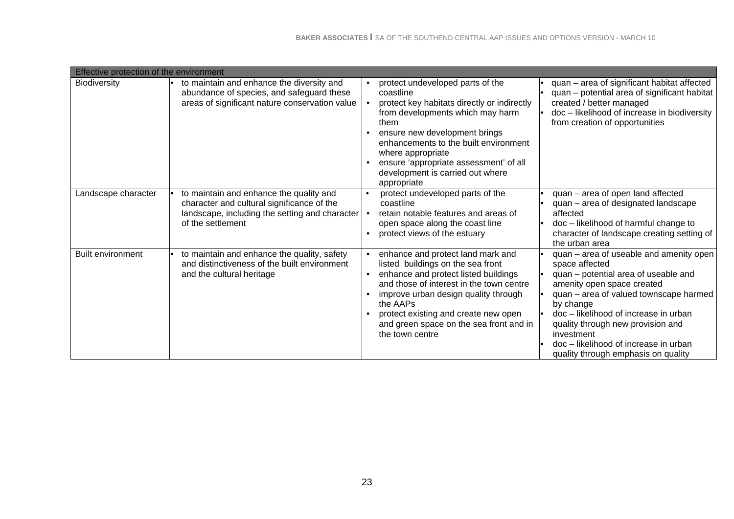| Effective protection of the environment |                                                                                                                                                              |                                                                                                                                                                                                                                                                                                                                                   |                                                                                                                                                                                                                                                                                                                                                                    |
|-----------------------------------------|--------------------------------------------------------------------------------------------------------------------------------------------------------------|---------------------------------------------------------------------------------------------------------------------------------------------------------------------------------------------------------------------------------------------------------------------------------------------------------------------------------------------------|--------------------------------------------------------------------------------------------------------------------------------------------------------------------------------------------------------------------------------------------------------------------------------------------------------------------------------------------------------------------|
| <b>Biodiversity</b>                     | to maintain and enhance the diversity and<br>abundance of species, and safeguard these<br>areas of significant nature conservation value                     | protect undeveloped parts of the<br>$\bullet$<br>coastline<br>protect key habitats directly or indirectly<br>from developments which may harm<br>them<br>ensure new development brings<br>enhancements to the built environment<br>where appropriate<br>ensure 'appropriate assessment' of all<br>development is carried out where<br>appropriate | quan - area of significant habitat affected<br>quan – potential area of significant habitat<br>created / better managed<br>doc - likelihood of increase in biodiversity<br>from creation of opportunities                                                                                                                                                          |
| Landscape character                     | to maintain and enhance the quality and<br>character and cultural significance of the<br>landscape, including the setting and character<br>of the settlement | protect undeveloped parts of the<br>coastline<br>retain notable features and areas of<br>$\bullet$<br>open space along the coast line<br>protect views of the estuary                                                                                                                                                                             | quan - area of open land affected<br>quan - area of designated landscape<br>affected<br>doc - likelihood of harmful change to<br>character of landscape creating setting of<br>the urban area                                                                                                                                                                      |
| <b>Built environment</b>                | to maintain and enhance the quality, safety<br>and distinctiveness of the built environment<br>and the cultural heritage                                     | enhance and protect land mark and<br>listed buildings on the sea front<br>enhance and protect listed buildings<br>$\bullet$<br>and those of interest in the town centre<br>improve urban design quality through<br>the AAPs<br>protect existing and create new open<br>and green space on the sea front and in<br>the town centre                 | quan - area of useable and amenity open<br>space affected<br>quan - potential area of useable and<br>amenity open space created<br>quan - area of valued townscape harmed<br>by change<br>doc - likelihood of increase in urban<br>quality through new provision and<br>investment<br>doc - likelihood of increase in urban<br>quality through emphasis on quality |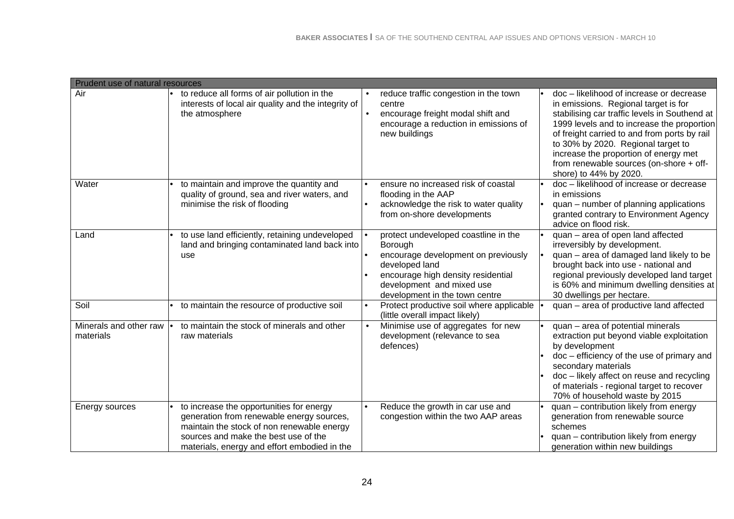| Prudent use of natural resources    |                                                                                                                                                                                                                             |                                                                                                                                                                                                               |                                                                                                                                                                                                                                                                                                                                                                                     |
|-------------------------------------|-----------------------------------------------------------------------------------------------------------------------------------------------------------------------------------------------------------------------------|---------------------------------------------------------------------------------------------------------------------------------------------------------------------------------------------------------------|-------------------------------------------------------------------------------------------------------------------------------------------------------------------------------------------------------------------------------------------------------------------------------------------------------------------------------------------------------------------------------------|
| Air                                 | to reduce all forms of air pollution in the<br>interests of local air quality and the integrity of<br>the atmosphere                                                                                                        | reduce traffic congestion in the town<br>centre<br>encourage freight modal shift and<br>encourage a reduction in emissions of<br>new buildings                                                                | doc - likelihood of increase or decrease<br>in emissions. Regional target is for<br>stabilising car traffic levels in Southend at<br>1999 levels and to increase the proportion<br>of freight carried to and from ports by rail<br>to 30% by 2020. Regional target to<br>increase the proportion of energy met<br>from renewable sources (on-shore + off-<br>shore) to 44% by 2020. |
| Water                               | to maintain and improve the quantity and<br>quality of ground, sea and river waters, and<br>minimise the risk of flooding                                                                                                   | ensure no increased risk of coastal<br>$\bullet$<br>flooding in the AAP<br>acknowledge the risk to water quality<br>$\bullet$<br>from on-shore developments                                                   | doc - likelihood of increase or decrease<br>in emissions<br>quan – number of planning applications<br>granted contrary to Environment Agency<br>advice on flood risk.                                                                                                                                                                                                               |
| Land                                | to use land efficiently, retaining undeveloped<br>land and bringing contaminated land back into<br>use                                                                                                                      | protect undeveloped coastline in the<br>Borough<br>encourage development on previously<br>developed land<br>encourage high density residential<br>development and mixed use<br>development in the town centre | quan - area of open land affected<br>irreversibly by development.<br>quan - area of damaged land likely to be<br>brought back into use - national and<br>regional previously developed land target<br>is 60% and minimum dwelling densities at<br>30 dwellings per hectare.                                                                                                         |
| Soil                                | to maintain the resource of productive soil                                                                                                                                                                                 | Protect productive soil where applicable<br>$\bullet$<br>(little overall impact likely)                                                                                                                       | quan - area of productive land affected                                                                                                                                                                                                                                                                                                                                             |
| Minerals and other raw<br>materials | to maintain the stock of minerals and other<br>raw materials                                                                                                                                                                | Minimise use of aggregates for new<br>$\bullet$<br>development (relevance to sea<br>defences)                                                                                                                 | quan - area of potential minerals<br>extraction put beyond viable exploitation<br>by development<br>doc - efficiency of the use of primary and<br>secondary materials<br>doc - likely affect on reuse and recycling<br>of materials - regional target to recover<br>70% of household waste by 2015                                                                                  |
| Energy sources                      | to increase the opportunities for energy<br>generation from renewable energy sources,<br>maintain the stock of non renewable energy<br>sources and make the best use of the<br>materials, energy and effort embodied in the | Reduce the growth in car use and<br>$\bullet$<br>congestion within the two AAP areas                                                                                                                          | quan - contribution likely from energy<br>generation from renewable source<br>schemes<br>quan - contribution likely from energy<br>generation within new buildings                                                                                                                                                                                                                  |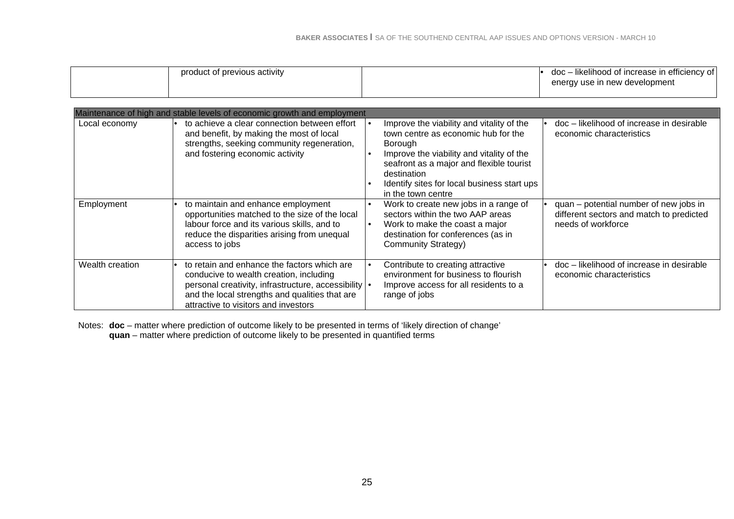| product of previous activity | doc – likelihood of increase in efficiency of<br>energy use in new development |
|------------------------------|--------------------------------------------------------------------------------|
|------------------------------|--------------------------------------------------------------------------------|

|                 | Maintenance of high and stable levels of economic growth and employment                                                                                                                                                                    |                                                                                                                                                                                                                                                                                       |                                                                                                          |
|-----------------|--------------------------------------------------------------------------------------------------------------------------------------------------------------------------------------------------------------------------------------------|---------------------------------------------------------------------------------------------------------------------------------------------------------------------------------------------------------------------------------------------------------------------------------------|----------------------------------------------------------------------------------------------------------|
| Local economy   | to achieve a clear connection between effort<br>and benefit, by making the most of local<br>strengths, seeking community regeneration,<br>and fostering economic activity                                                                  | Improve the viability and vitality of the<br>town centre as economic hub for the<br>Borough<br>Improve the viability and vitality of the<br>$\bullet$<br>seafront as a major and flexible tourist<br>destination<br>Identify sites for local business start ups<br>in the town centre | doc – likelihood of increase in desirable<br>economic characteristics                                    |
| Employment      | to maintain and enhance employment<br>opportunities matched to the size of the local<br>labour force and its various skills, and to<br>reduce the disparities arising from unequal<br>access to jobs                                       | Work to create new jobs in a range of<br>$\bullet$<br>sectors within the two AAP areas<br>Work to make the coast a major<br>$\bullet$<br>destination for conferences (as in<br><b>Community Strategy)</b>                                                                             | quan - potential number of new jobs in<br>different sectors and match to predicted<br>needs of workforce |
| Wealth creation | to retain and enhance the factors which are<br>conducive to wealth creation, including<br>personal creativity, infrastructure, accessibility   •<br>and the local strengths and qualities that are<br>attractive to visitors and investors | Contribute to creating attractive<br>$\bullet$<br>environment for business to flourish<br>Improve access for all residents to a<br>range of jobs                                                                                                                                      | doc - likelihood of increase in desirable<br>economic characteristics                                    |

Notes: **doc** – matter where prediction of outcome likely to be presented in terms of 'likely direction of change' **quan** – matter where prediction of outcome likely to be presented in quantified terms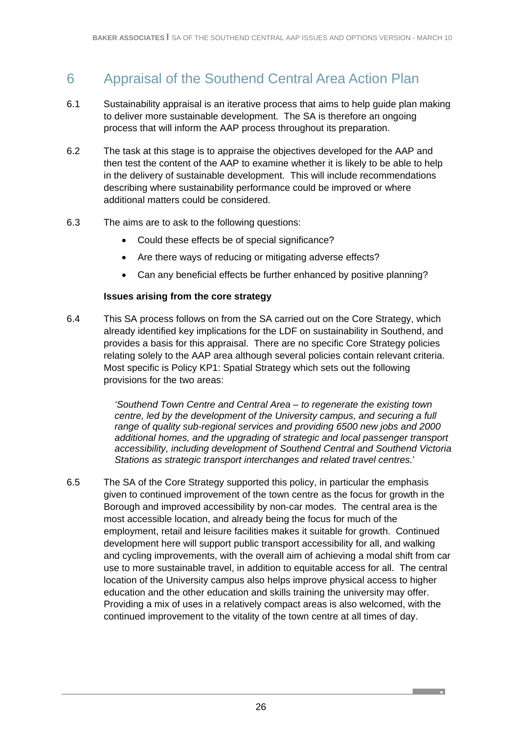# 6 Appraisal of the Southend Central Area Action Plan

- 6.1 Sustainability appraisal is an iterative process that aims to help guide plan making to deliver more sustainable development. The SA is therefore an ongoing process that will inform the AAP process throughout its preparation.
- 6.2 The task at this stage is to appraise the objectives developed for the AAP and then test the content of the AAP to examine whether it is likely to be able to help in the delivery of sustainable development. This will include recommendations describing where sustainability performance could be improved or where additional matters could be considered.
- 6.3 The aims are to ask to the following questions:
	- Could these effects be of special significance?
	- Are there ways of reducing or mitigating adverse effects?
	- Can any beneficial effects be further enhanced by positive planning?

#### **Issues arising from the core strategy**

6.4 This SA process follows on from the SA carried out on the Core Strategy, which already identified key implications for the LDF on sustainability in Southend, and provides a basis for this appraisal. There are no specific Core Strategy policies relating solely to the AAP area although several policies contain relevant criteria. Most specific is Policy KP1: Spatial Strategy which sets out the following provisions for the two areas:

> *'Southend Town Centre and Central Area – to regenerate the existing town centre, led by the development of the University campus, and securing a full range of quality sub-regional services and providing 6500 new jobs and 2000 additional homes, and the upgrading of strategic and local passenger transport accessibility, including development of Southend Central and Southend Victoria Stations as strategic transport interchanges and related travel centres.*'

6.5 The SA of the Core Strategy supported this policy, in particular the emphasis given to continued improvement of the town centre as the focus for growth in the Borough and improved accessibility by non-car modes. The central area is the most accessible location, and already being the focus for much of the employment, retail and leisure facilities makes it suitable for growth. Continued development here will support public transport accessibility for all, and walking and cycling improvements, with the overall aim of achieving a modal shift from car use to more sustainable travel, in addition to equitable access for all. The central location of the University campus also helps improve physical access to higher education and the other education and skills training the university may offer. Providing a mix of uses in a relatively compact areas is also welcomed, with the continued improvement to the vitality of the town centre at all times of day.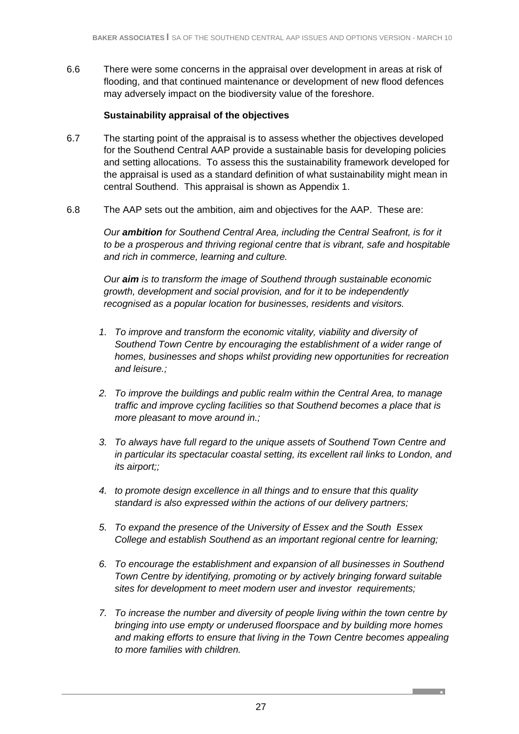6.6 There were some concerns in the appraisal over development in areas at risk of flooding, and that continued maintenance or development of new flood defences may adversely impact on the biodiversity value of the foreshore.

#### **Sustainability appraisal of the objectives**

- 6.7 The starting point of the appraisal is to assess whether the objectives developed for the Southend Central AAP provide a sustainable basis for developing policies and setting allocations. To assess this the sustainability framework developed for the appraisal is used as a standard definition of what sustainability might mean in central Southend. This appraisal is shown as Appendix 1.
- 6.8 The AAP sets out the ambition, aim and objectives for the AAP. These are:

*Our ambition for Southend Central Area, including the Central Seafront, is for it to be a prosperous and thriving regional centre that is vibrant, safe and hospitable and rich in commerce, learning and culture.* 

*Our aim is to transform the image of Southend through sustainable economic growth, development and social provision, and for it to be independently recognised as a popular location for businesses, residents and visitors.* 

- *1. To improve and transform the economic vitality, viability and diversity of Southend Town Centre by encouraging the establishment of a wider range of homes, businesses and shops whilst providing new opportunities for recreation and leisure.;*
- *2. To improve the buildings and public realm within the Central Area, to manage traffic and improve cycling facilities so that Southend becomes a place that is more pleasant to move around in.;*
- *3. To always have full regard to the unique assets of Southend Town Centre and in particular its spectacular coastal setting, its excellent rail links to London, and its airport;;*
- *4. to promote design excellence in all things and to ensure that this quality standard is also expressed within the actions of our delivery partners;*
- *5. To expand the presence of the University of Essex and the South Essex College and establish Southend as an important regional centre for learning;*
- *6. To encourage the establishment and expansion of all businesses in Southend Town Centre by identifying, promoting or by actively bringing forward suitable sites for development to meet modern user and investor requirements;*
- *7. To increase the number and diversity of people living within the town centre by bringing into use empty or underused floorspace and by building more homes and making efforts to ensure that living in the Town Centre becomes appealing to more families with children.*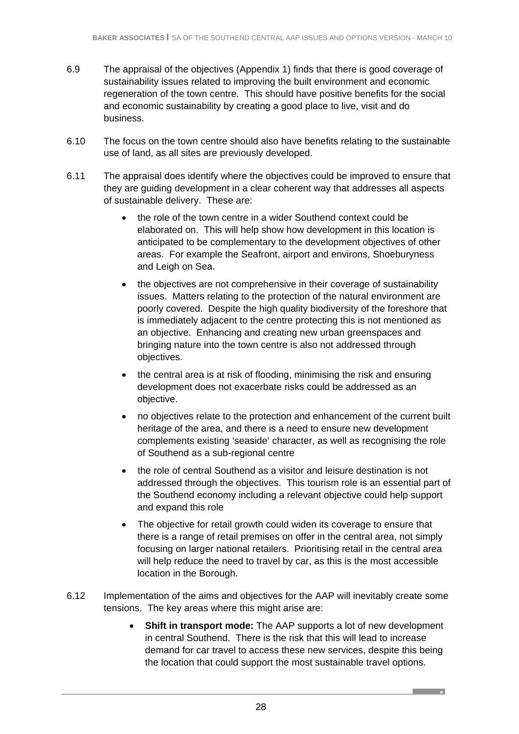- 6.9 The appraisal of the objectives (Appendix 1) finds that there is good coverage of sustainability issues related to improving the built environment and economic regeneration of the town centre. This should have positive benefits for the social and economic sustainability by creating a good place to live, visit and do business.
- 6.10 The focus on the town centre should also have benefits relating to the sustainable use of land, as all sites are previously developed.
- 6.11 The appraisal does identify where the objectives could be improved to ensure that they are guiding development in a clear coherent way that addresses all aspects of sustainable delivery. These are:
	- the role of the town centre in a wider Southend context could be elaborated on. This will help show how development in this location is anticipated to be complementary to the development objectives of other areas. For example the Seafront, airport and environs, Shoeburyness and Leigh on Sea.
	- the objectives are not comprehensive in their coverage of sustainability issues. Matters relating to the protection of the natural environment are poorly covered. Despite the high quality biodiversity of the foreshore that is immediately adjacent to the centre protecting this is not mentioned as an objective. Enhancing and creating new urban greenspaces and bringing nature into the town centre is also not addressed through objectives.
	- the central area is at risk of flooding, minimising the risk and ensuring development does not exacerbate risks could be addressed as an objective.
	- no objectives relate to the protection and enhancement of the current built heritage of the area, and there is a need to ensure new development complements existing 'seaside' character, as well as recognising the role of Southend as a sub-regional centre
	- the role of central Southend as a visitor and leisure destination is not addressed through the objectives. This tourism role is an essential part of the Southend economy including a relevant objective could help support and expand this role
	- The objective for retail growth could widen its coverage to ensure that there is a range of retail premises on offer in the central area, not simply focusing on larger national retailers. Prioritising retail in the central area will help reduce the need to travel by car, as this is the most accessible location in the Borough.
- 6.12 Implementation of the aims and objectives for the AAP will inevitably create some tensions. The key areas where this might arise are:
	- **Shift in transport mode:** The AAP supports a lot of new development in central Southend. There is the risk that this will lead to increase demand for car travel to access these new services, despite this being the location that could support the most sustainable travel options.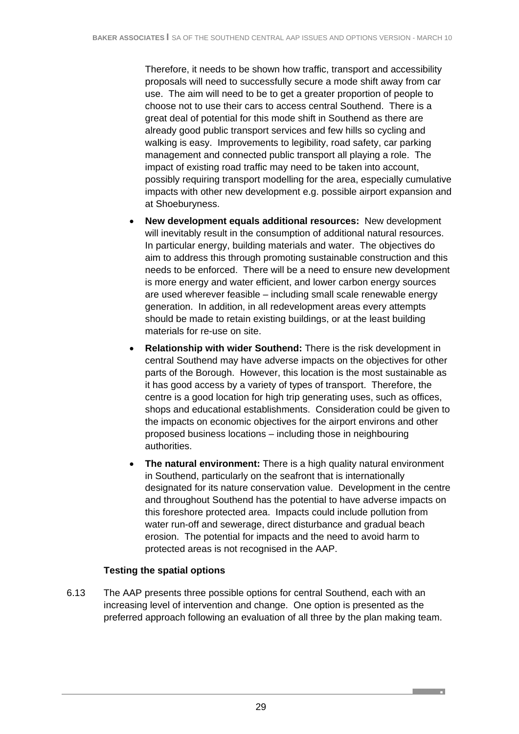Therefore, it needs to be shown how traffic, transport and accessibility proposals will need to successfully secure a mode shift away from car use. The aim will need to be to get a greater proportion of people to choose not to use their cars to access central Southend. There is a great deal of potential for this mode shift in Southend as there are already good public transport services and few hills so cycling and walking is easy. Improvements to legibility, road safety, car parking management and connected public transport all playing a role. The impact of existing road traffic may need to be taken into account, possibly requiring transport modelling for the area, especially cumulative impacts with other new development e.g. possible airport expansion and at Shoeburyness.

- **New development equals additional resources:** New development will inevitably result in the consumption of additional natural resources. In particular energy, building materials and water. The objectives do aim to address this through promoting sustainable construction and this needs to be enforced. There will be a need to ensure new development is more energy and water efficient, and lower carbon energy sources are used wherever feasible – including small scale renewable energy generation. In addition, in all redevelopment areas every attempts should be made to retain existing buildings, or at the least building materials for re-use on site.
- **Relationship with wider Southend:** There is the risk development in central Southend may have adverse impacts on the objectives for other parts of the Borough. However, this location is the most sustainable as it has good access by a variety of types of transport. Therefore, the centre is a good location for high trip generating uses, such as offices, shops and educational establishments. Consideration could be given to the impacts on economic objectives for the airport environs and other proposed business locations – including those in neighbouring authorities.
- **The natural environment:** There is a high quality natural environment in Southend, particularly on the seafront that is internationally designated for its nature conservation value. Development in the centre and throughout Southend has the potential to have adverse impacts on this foreshore protected area. Impacts could include pollution from water run-off and sewerage, direct disturbance and gradual beach erosion. The potential for impacts and the need to avoid harm to protected areas is not recognised in the AAP.

### **Testing the spatial options**

6.13 The AAP presents three possible options for central Southend, each with an increasing level of intervention and change. One option is presented as the preferred approach following an evaluation of all three by the plan making team.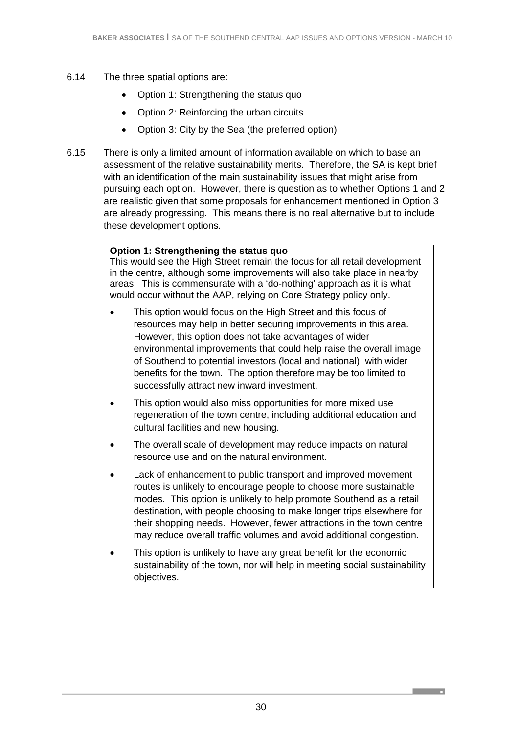- 6.14 The three spatial options are:
	- Option 1: Strengthening the status quo
	- Option 2: Reinforcing the urban circuits
	- Option 3: City by the Sea (the preferred option)
- 6.15 There is only a limited amount of information available on which to base an assessment of the relative sustainability merits. Therefore, the SA is kept brief with an identification of the main sustainability issues that might arise from pursuing each option. However, there is question as to whether Options 1 and 2 are realistic given that some proposals for enhancement mentioned in Option 3 are already progressing. This means there is no real alternative but to include these development options.

### **Option 1: Strengthening the status quo**

This would see the High Street remain the focus for all retail development in the centre, although some improvements will also take place in nearby areas. This is commensurate with a 'do-nothing' approach as it is what would occur without the AAP, relying on Core Strategy policy only.

- This option would focus on the High Street and this focus of resources may help in better securing improvements in this area. However, this option does not take advantages of wider environmental improvements that could help raise the overall image of Southend to potential investors (local and national), with wider benefits for the town. The option therefore may be too limited to successfully attract new inward investment.
- This option would also miss opportunities for more mixed use regeneration of the town centre, including additional education and cultural facilities and new housing.
- The overall scale of development may reduce impacts on natural resource use and on the natural environment.
- Lack of enhancement to public transport and improved movement routes is unlikely to encourage people to choose more sustainable modes. This option is unlikely to help promote Southend as a retail destination, with people choosing to make longer trips elsewhere for their shopping needs. However, fewer attractions in the town centre may reduce overall traffic volumes and avoid additional congestion.
- This option is unlikely to have any great benefit for the economic sustainability of the town, nor will help in meeting social sustainability objectives.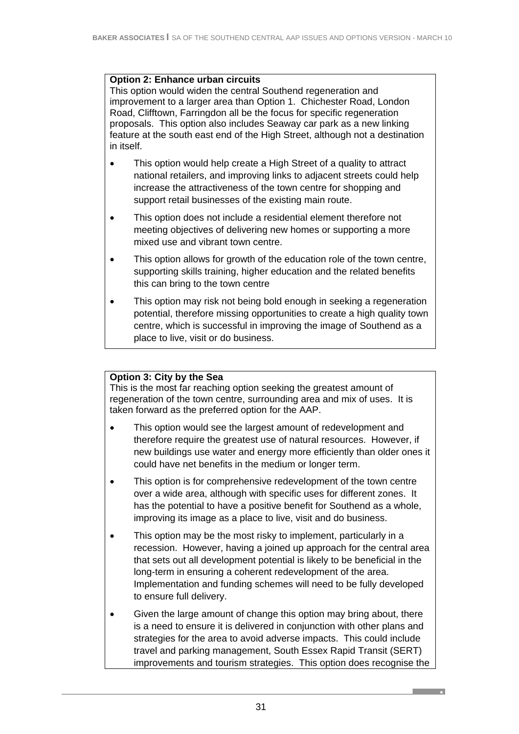#### **Option 2: Enhance urban circuits**

This option would widen the central Southend regeneration and improvement to a larger area than Option 1. Chichester Road, London Road, Clifftown, Farringdon all be the focus for specific regeneration proposals. This option also includes Seaway car park as a new linking feature at the south east end of the High Street, although not a destination in itself.

- This option would help create a High Street of a quality to attract national retailers, and improving links to adjacent streets could help increase the attractiveness of the town centre for shopping and support retail businesses of the existing main route.
- This option does not include a residential element therefore not meeting objectives of delivering new homes or supporting a more mixed use and vibrant town centre.
- This option allows for growth of the education role of the town centre, supporting skills training, higher education and the related benefits this can bring to the town centre
- This option may risk not being bold enough in seeking a regeneration potential, therefore missing opportunities to create a high quality town centre, which is successful in improving the image of Southend as a place to live, visit or do business.

### **Option 3: City by the Sea**

This is the most far reaching option seeking the greatest amount of regeneration of the town centre, surrounding area and mix of uses. It is taken forward as the preferred option for the AAP.

- This option would see the largest amount of redevelopment and therefore require the greatest use of natural resources. However, if new buildings use water and energy more efficiently than older ones it could have net benefits in the medium or longer term.
- This option is for comprehensive redevelopment of the town centre over a wide area, although with specific uses for different zones. It has the potential to have a positive benefit for Southend as a whole, improving its image as a place to live, visit and do business.
- This option may be the most risky to implement, particularly in a recession. However, having a joined up approach for the central area that sets out all development potential is likely to be beneficial in the long-term in ensuring a coherent redevelopment of the area. Implementation and funding schemes will need to be fully developed to ensure full delivery.
- Given the large amount of change this option may bring about, there is a need to ensure it is delivered in conjunction with other plans and strategies for the area to avoid adverse impacts. This could include travel and parking management, South Essex Rapid Transit (SERT) improvements and tourism strategies. This option does recognise the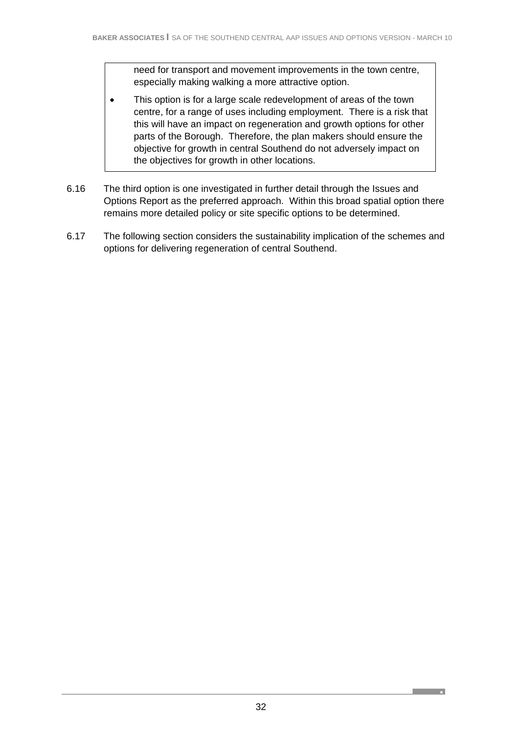need for transport and movement improvements in the town centre, especially making walking a more attractive option.

- This option is for a large scale redevelopment of areas of the town centre, for a range of uses including employment. There is a risk that this will have an impact on regeneration and growth options for other parts of the Borough. Therefore, the plan makers should ensure the objective for growth in central Southend do not adversely impact on the objectives for growth in other locations.
- 6.16 The third option is one investigated in further detail through the Issues and Options Report as the preferred approach. Within this broad spatial option there remains more detailed policy or site specific options to be determined.
- 6.17 The following section considers the sustainability implication of the schemes and options for delivering regeneration of central Southend.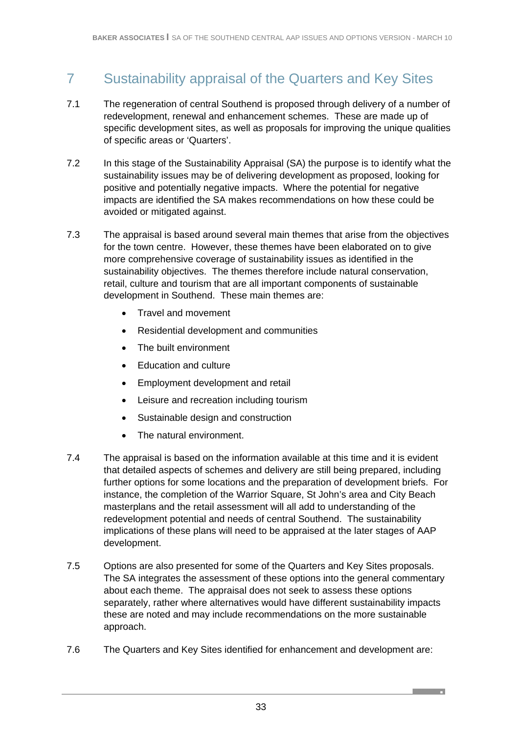# 7 Sustainability appraisal of the Quarters and Key Sites

- 7.1 The regeneration of central Southend is proposed through delivery of a number of redevelopment, renewal and enhancement schemes. These are made up of specific development sites, as well as proposals for improving the unique qualities of specific areas or 'Quarters'.
- 7.2 In this stage of the Sustainability Appraisal (SA) the purpose is to identify what the sustainability issues may be of delivering development as proposed, looking for positive and potentially negative impacts. Where the potential for negative impacts are identified the SA makes recommendations on how these could be avoided or mitigated against.
- 7.3 The appraisal is based around several main themes that arise from the objectives for the town centre. However, these themes have been elaborated on to give more comprehensive coverage of sustainability issues as identified in the sustainability objectives. The themes therefore include natural conservation, retail, culture and tourism that are all important components of sustainable development in Southend. These main themes are:
	- Travel and movement
	- Residential development and communities
	- The built environment
	- Education and culture
	- Employment development and retail
	- Leisure and recreation including tourism
	- Sustainable design and construction
	- The natural environment.
- 7.4 The appraisal is based on the information available at this time and it is evident that detailed aspects of schemes and delivery are still being prepared, including further options for some locations and the preparation of development briefs. For instance, the completion of the Warrior Square, St John's area and City Beach masterplans and the retail assessment will all add to understanding of the redevelopment potential and needs of central Southend. The sustainability implications of these plans will need to be appraised at the later stages of AAP development.
- 7.5 Options are also presented for some of the Quarters and Key Sites proposals. The SA integrates the assessment of these options into the general commentary about each theme. The appraisal does not seek to assess these options separately, rather where alternatives would have different sustainability impacts these are noted and may include recommendations on the more sustainable approach.
- 7.6 The Quarters and Key Sites identified for enhancement and development are: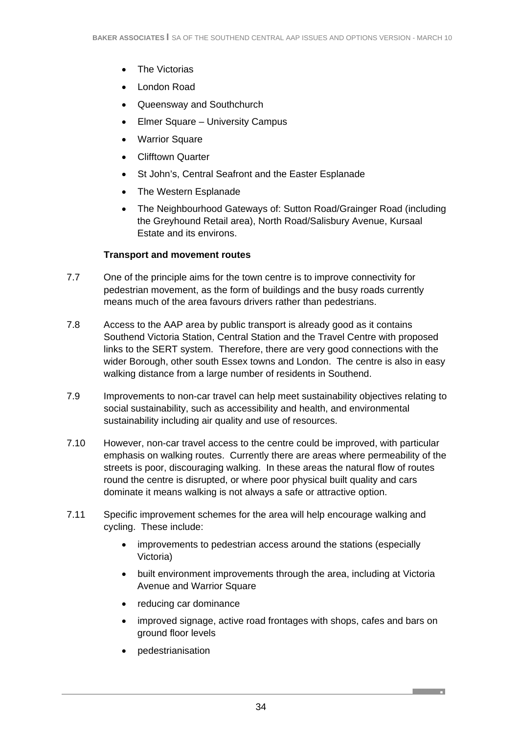- The Victorias
- London Road
- Queensway and Southchurch
- Elmer Square University Campus
- **Warrior Square**
- Clifftown Quarter
- St John's, Central Seafront and the Easter Esplanade
- The Western Esplanade
- The Neighbourhood Gateways of: Sutton Road/Grainger Road (including the Greyhound Retail area), North Road/Salisbury Avenue, Kursaal Estate and its environs.

### **Transport and movement routes**

- 7.7 One of the principle aims for the town centre is to improve connectivity for pedestrian movement, as the form of buildings and the busy roads currently means much of the area favours drivers rather than pedestrians.
- 7.8 Access to the AAP area by public transport is already good as it contains Southend Victoria Station, Central Station and the Travel Centre with proposed links to the SERT system. Therefore, there are very good connections with the wider Borough, other south Essex towns and London. The centre is also in easy walking distance from a large number of residents in Southend.
- 7.9 Improvements to non-car travel can help meet sustainability objectives relating to social sustainability, such as accessibility and health, and environmental sustainability including air quality and use of resources.
- 7.10 However, non-car travel access to the centre could be improved, with particular emphasis on walking routes. Currently there are areas where permeability of the streets is poor, discouraging walking. In these areas the natural flow of routes round the centre is disrupted, or where poor physical built quality and cars dominate it means walking is not always a safe or attractive option.
- 7.11 Specific improvement schemes for the area will help encourage walking and cycling. These include:
	- improvements to pedestrian access around the stations (especially Victoria)
	- built environment improvements through the area, including at Victoria Avenue and Warrior Square
	- reducing car dominance
	- improved signage, active road frontages with shops, cafes and bars on ground floor levels

**Contract Contract** 

• pedestrianisation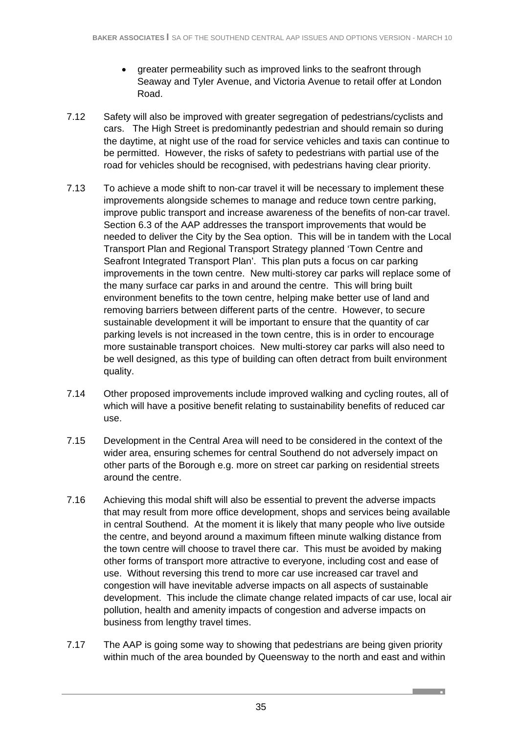- greater permeability such as improved links to the seafront through Seaway and Tyler Avenue, and Victoria Avenue to retail offer at London Road.
- 7.12 Safety will also be improved with greater segregation of pedestrians/cyclists and cars. The High Street is predominantly pedestrian and should remain so during the daytime, at night use of the road for service vehicles and taxis can continue to be permitted. However, the risks of safety to pedestrians with partial use of the road for vehicles should be recognised, with pedestrians having clear priority.
- 7.13 To achieve a mode shift to non-car travel it will be necessary to implement these improvements alongside schemes to manage and reduce town centre parking, improve public transport and increase awareness of the benefits of non-car travel. Section 6.3 of the AAP addresses the transport improvements that would be needed to deliver the City by the Sea option. This will be in tandem with the Local Transport Plan and Regional Transport Strategy planned 'Town Centre and Seafront Integrated Transport Plan'. This plan puts a focus on car parking improvements in the town centre. New multi-storey car parks will replace some of the many surface car parks in and around the centre. This will bring built environment benefits to the town centre, helping make better use of land and removing barriers between different parts of the centre. However, to secure sustainable development it will be important to ensure that the quantity of car parking levels is not increased in the town centre, this is in order to encourage more sustainable transport choices. New multi-storey car parks will also need to be well designed, as this type of building can often detract from built environment quality.
- 7.14 Other proposed improvements include improved walking and cycling routes, all of which will have a positive benefit relating to sustainability benefits of reduced car use.
- 7.15 Development in the Central Area will need to be considered in the context of the wider area, ensuring schemes for central Southend do not adversely impact on other parts of the Borough e.g. more on street car parking on residential streets around the centre.
- 7.16 Achieving this modal shift will also be essential to prevent the adverse impacts that may result from more office development, shops and services being available in central Southend. At the moment it is likely that many people who live outside the centre, and beyond around a maximum fifteen minute walking distance from the town centre will choose to travel there car. This must be avoided by making other forms of transport more attractive to everyone, including cost and ease of use. Without reversing this trend to more car use increased car travel and congestion will have inevitable adverse impacts on all aspects of sustainable development. This include the climate change related impacts of car use, local air pollution, health and amenity impacts of congestion and adverse impacts on business from lengthy travel times.
- 7.17 The AAP is going some way to showing that pedestrians are being given priority within much of the area bounded by Queensway to the north and east and within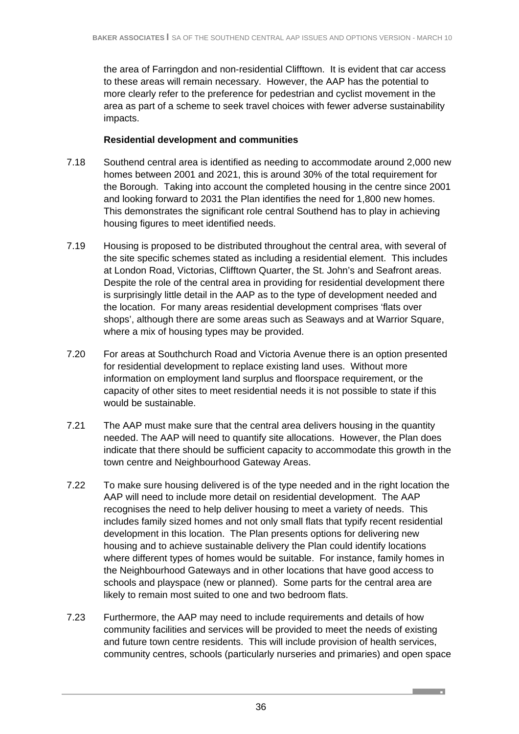the area of Farringdon and non-residential Clifftown. It is evident that car access to these areas will remain necessary. However, the AAP has the potential to more clearly refer to the preference for pedestrian and cyclist movement in the area as part of a scheme to seek travel choices with fewer adverse sustainability impacts.

### **Residential development and communities**

- 7.18 Southend central area is identified as needing to accommodate around 2,000 new homes between 2001 and 2021, this is around 30% of the total requirement for the Borough. Taking into account the completed housing in the centre since 2001 and looking forward to 2031 the Plan identifies the need for 1,800 new homes. This demonstrates the significant role central Southend has to play in achieving housing figures to meet identified needs.
- 7.19 Housing is proposed to be distributed throughout the central area, with several of the site specific schemes stated as including a residential element. This includes at London Road, Victorias, Clifftown Quarter, the St. John's and Seafront areas. Despite the role of the central area in providing for residential development there is surprisingly little detail in the AAP as to the type of development needed and the location. For many areas residential development comprises 'flats over shops', although there are some areas such as Seaways and at Warrior Square, where a mix of housing types may be provided.
- 7.20 For areas at Southchurch Road and Victoria Avenue there is an option presented for residential development to replace existing land uses. Without more information on employment land surplus and floorspace requirement, or the capacity of other sites to meet residential needs it is not possible to state if this would be sustainable.
- 7.21 The AAP must make sure that the central area delivers housing in the quantity needed. The AAP will need to quantify site allocations. However, the Plan does indicate that there should be sufficient capacity to accommodate this growth in the town centre and Neighbourhood Gateway Areas.
- 7.22 To make sure housing delivered is of the type needed and in the right location the AAP will need to include more detail on residential development. The AAP recognises the need to help deliver housing to meet a variety of needs. This includes family sized homes and not only small flats that typify recent residential development in this location. The Plan presents options for delivering new housing and to achieve sustainable delivery the Plan could identify locations where different types of homes would be suitable. For instance, family homes in the Neighbourhood Gateways and in other locations that have good access to schools and playspace (new or planned). Some parts for the central area are likely to remain most suited to one and two bedroom flats.
- 7.23 Furthermore, the AAP may need to include requirements and details of how community facilities and services will be provided to meet the needs of existing and future town centre residents. This will include provision of health services, community centres, schools (particularly nurseries and primaries) and open space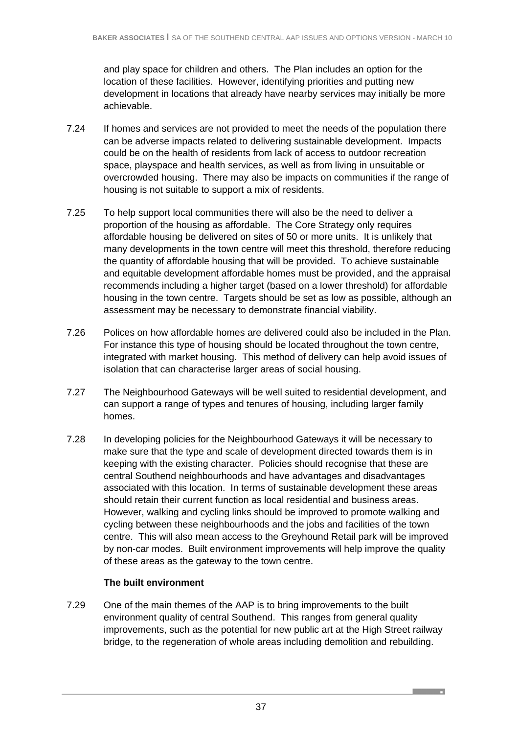and play space for children and others. The Plan includes an option for the location of these facilities. However, identifying priorities and putting new development in locations that already have nearby services may initially be more achievable.

- 7.24 If homes and services are not provided to meet the needs of the population there can be adverse impacts related to delivering sustainable development. Impacts could be on the health of residents from lack of access to outdoor recreation space, playspace and health services, as well as from living in unsuitable or overcrowded housing. There may also be impacts on communities if the range of housing is not suitable to support a mix of residents.
- 7.25 To help support local communities there will also be the need to deliver a proportion of the housing as affordable. The Core Strategy only requires affordable housing be delivered on sites of 50 or more units. It is unlikely that many developments in the town centre will meet this threshold, therefore reducing the quantity of affordable housing that will be provided. To achieve sustainable and equitable development affordable homes must be provided, and the appraisal recommends including a higher target (based on a lower threshold) for affordable housing in the town centre. Targets should be set as low as possible, although an assessment may be necessary to demonstrate financial viability.
- 7.26 Polices on how affordable homes are delivered could also be included in the Plan. For instance this type of housing should be located throughout the town centre, integrated with market housing. This method of delivery can help avoid issues of isolation that can characterise larger areas of social housing.
- 7.27 The Neighbourhood Gateways will be well suited to residential development, and can support a range of types and tenures of housing, including larger family homes.
- 7.28 In developing policies for the Neighbourhood Gateways it will be necessary to make sure that the type and scale of development directed towards them is in keeping with the existing character. Policies should recognise that these are central Southend neighbourhoods and have advantages and disadvantages associated with this location. In terms of sustainable development these areas should retain their current function as local residential and business areas. However, walking and cycling links should be improved to promote walking and cycling between these neighbourhoods and the jobs and facilities of the town centre. This will also mean access to the Greyhound Retail park will be improved by non-car modes. Built environment improvements will help improve the quality of these areas as the gateway to the town centre.

# **The built environment**

7.29 One of the main themes of the AAP is to bring improvements to the built environment quality of central Southend. This ranges from general quality improvements, such as the potential for new public art at the High Street railway bridge, to the regeneration of whole areas including demolition and rebuilding.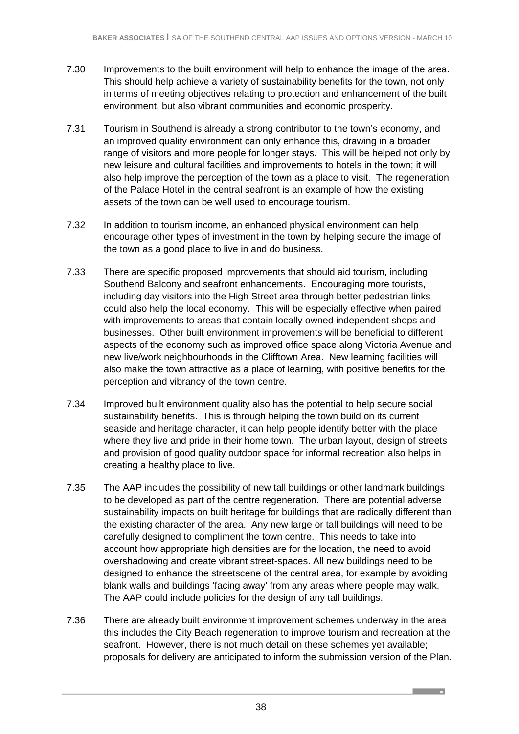- 7.30 Improvements to the built environment will help to enhance the image of the area. This should help achieve a variety of sustainability benefits for the town, not only in terms of meeting objectives relating to protection and enhancement of the built environment, but also vibrant communities and economic prosperity.
- 7.31 Tourism in Southend is already a strong contributor to the town's economy, and an improved quality environment can only enhance this, drawing in a broader range of visitors and more people for longer stays. This will be helped not only by new leisure and cultural facilities and improvements to hotels in the town; it will also help improve the perception of the town as a place to visit. The regeneration of the Palace Hotel in the central seafront is an example of how the existing assets of the town can be well used to encourage tourism.
- 7.32 In addition to tourism income, an enhanced physical environment can help encourage other types of investment in the town by helping secure the image of the town as a good place to live in and do business.
- 7.33 There are specific proposed improvements that should aid tourism, including Southend Balcony and seafront enhancements. Encouraging more tourists, including day visitors into the High Street area through better pedestrian links could also help the local economy. This will be especially effective when paired with improvements to areas that contain locally owned independent shops and businesses. Other built environment improvements will be beneficial to different aspects of the economy such as improved office space along Victoria Avenue and new live/work neighbourhoods in the Clifftown Area. New learning facilities will also make the town attractive as a place of learning, with positive benefits for the perception and vibrancy of the town centre.
- 7.34 Improved built environment quality also has the potential to help secure social sustainability benefits. This is through helping the town build on its current seaside and heritage character, it can help people identify better with the place where they live and pride in their home town. The urban layout, design of streets and provision of good quality outdoor space for informal recreation also helps in creating a healthy place to live.
- 7.35 The AAP includes the possibility of new tall buildings or other landmark buildings to be developed as part of the centre regeneration. There are potential adverse sustainability impacts on built heritage for buildings that are radically different than the existing character of the area. Any new large or tall buildings will need to be carefully designed to compliment the town centre. This needs to take into account how appropriate high densities are for the location, the need to avoid overshadowing and create vibrant street-spaces. All new buildings need to be designed to enhance the streetscene of the central area, for example by avoiding blank walls and buildings 'facing away' from any areas where people may walk. The AAP could include policies for the design of any tall buildings.
- 7.36 There are already built environment improvement schemes underway in the area this includes the City Beach regeneration to improve tourism and recreation at the seafront. However, there is not much detail on these schemes yet available; proposals for delivery are anticipated to inform the submission version of the Plan.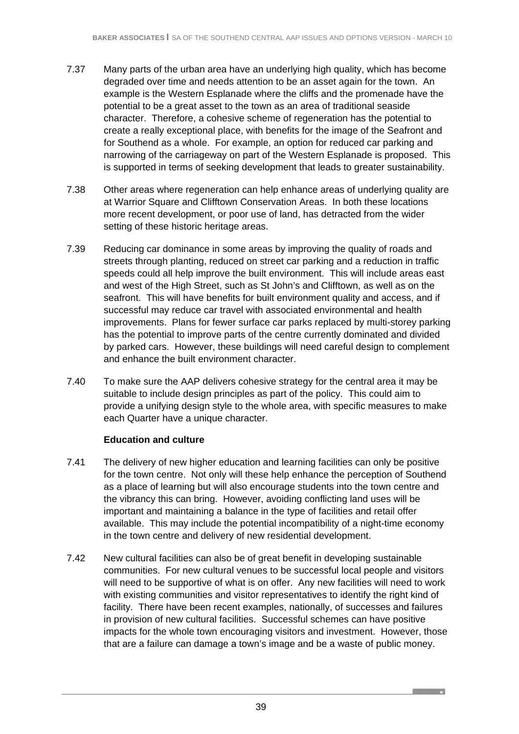- 7.37 Many parts of the urban area have an underlying high quality, which has become degraded over time and needs attention to be an asset again for the town. An example is the Western Esplanade where the cliffs and the promenade have the potential to be a great asset to the town as an area of traditional seaside character. Therefore, a cohesive scheme of regeneration has the potential to create a really exceptional place, with benefits for the image of the Seafront and for Southend as a whole. For example, an option for reduced car parking and narrowing of the carriageway on part of the Western Esplanade is proposed. This is supported in terms of seeking development that leads to greater sustainability.
- 7.38 Other areas where regeneration can help enhance areas of underlying quality are at Warrior Square and Clifftown Conservation Areas. In both these locations more recent development, or poor use of land, has detracted from the wider setting of these historic heritage areas.
- 7.39 Reducing car dominance in some areas by improving the quality of roads and streets through planting, reduced on street car parking and a reduction in traffic speeds could all help improve the built environment. This will include areas east and west of the High Street, such as St John's and Clifftown, as well as on the seafront. This will have benefits for built environment quality and access, and if successful may reduce car travel with associated environmental and health improvements. Plans for fewer surface car parks replaced by multi-storey parking has the potential to improve parts of the centre currently dominated and divided by parked cars. However, these buildings will need careful design to complement and enhance the built environment character.
- 7.40 To make sure the AAP delivers cohesive strategy for the central area it may be suitable to include design principles as part of the policy. This could aim to provide a unifying design style to the whole area, with specific measures to make each Quarter have a unique character.

### **Education and culture**

- 7.41 The delivery of new higher education and learning facilities can only be positive for the town centre. Not only will these help enhance the perception of Southend as a place of learning but will also encourage students into the town centre and the vibrancy this can bring. However, avoiding conflicting land uses will be important and maintaining a balance in the type of facilities and retail offer available. This may include the potential incompatibility of a night-time economy in the town centre and delivery of new residential development.
- 7.42 New cultural facilities can also be of great benefit in developing sustainable communities. For new cultural venues to be successful local people and visitors will need to be supportive of what is on offer. Any new facilities will need to work with existing communities and visitor representatives to identify the right kind of facility. There have been recent examples, nationally, of successes and failures in provision of new cultural facilities. Successful schemes can have positive impacts for the whole town encouraging visitors and investment. However, those that are a failure can damage a town's image and be a waste of public money.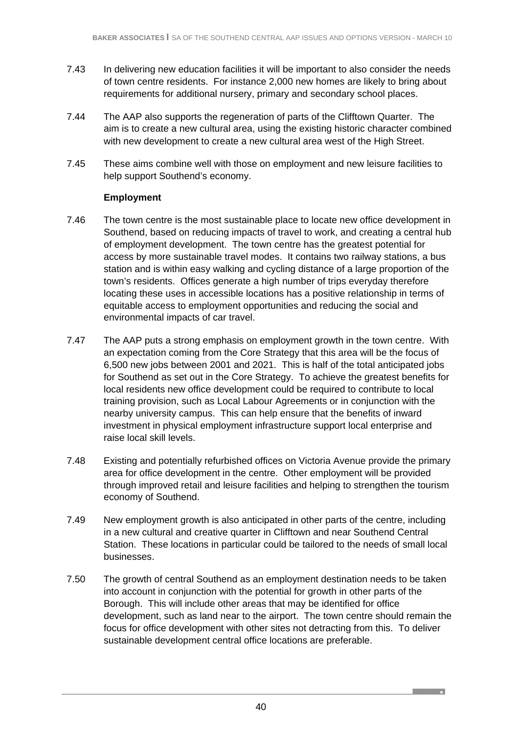- 7.43 In delivering new education facilities it will be important to also consider the needs of town centre residents. For instance 2,000 new homes are likely to bring about requirements for additional nursery, primary and secondary school places.
- 7.44 The AAP also supports the regeneration of parts of the Clifftown Quarter. The aim is to create a new cultural area, using the existing historic character combined with new development to create a new cultural area west of the High Street.
- 7.45 These aims combine well with those on employment and new leisure facilities to help support Southend's economy.

### **Employment**

- 7.46 The town centre is the most sustainable place to locate new office development in Southend, based on reducing impacts of travel to work, and creating a central hub of employment development. The town centre has the greatest potential for access by more sustainable travel modes. It contains two railway stations, a bus station and is within easy walking and cycling distance of a large proportion of the town's residents. Offices generate a high number of trips everyday therefore locating these uses in accessible locations has a positive relationship in terms of equitable access to employment opportunities and reducing the social and environmental impacts of car travel.
- 7.47 The AAP puts a strong emphasis on employment growth in the town centre. With an expectation coming from the Core Strategy that this area will be the focus of 6,500 new jobs between 2001 and 2021. This is half of the total anticipated jobs for Southend as set out in the Core Strategy. To achieve the greatest benefits for local residents new office development could be required to contribute to local training provision, such as Local Labour Agreements or in conjunction with the nearby university campus. This can help ensure that the benefits of inward investment in physical employment infrastructure support local enterprise and raise local skill levels.
- 7.48 Existing and potentially refurbished offices on Victoria Avenue provide the primary area for office development in the centre. Other employment will be provided through improved retail and leisure facilities and helping to strengthen the tourism economy of Southend.
- 7.49 New employment growth is also anticipated in other parts of the centre, including in a new cultural and creative quarter in Clifftown and near Southend Central Station. These locations in particular could be tailored to the needs of small local businesses.
- 7.50 The growth of central Southend as an employment destination needs to be taken into account in conjunction with the potential for growth in other parts of the Borough. This will include other areas that may be identified for office development, such as land near to the airport. The town centre should remain the focus for office development with other sites not detracting from this. To deliver sustainable development central office locations are preferable.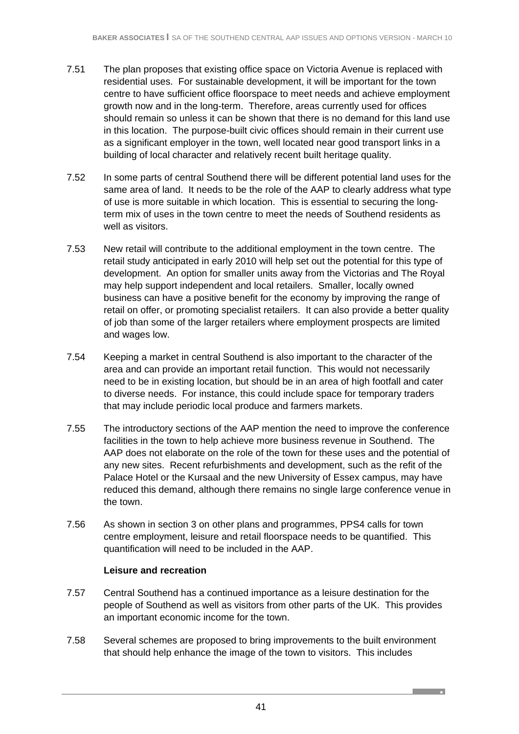- 7.51 The plan proposes that existing office space on Victoria Avenue is replaced with residential uses. For sustainable development, it will be important for the town centre to have sufficient office floorspace to meet needs and achieve employment growth now and in the long-term. Therefore, areas currently used for offices should remain so unless it can be shown that there is no demand for this land use in this location. The purpose-built civic offices should remain in their current use as a significant employer in the town, well located near good transport links in a building of local character and relatively recent built heritage quality.
- 7.52 In some parts of central Southend there will be different potential land uses for the same area of land. It needs to be the role of the AAP to clearly address what type of use is more suitable in which location. This is essential to securing the longterm mix of uses in the town centre to meet the needs of Southend residents as well as visitors.
- 7.53 New retail will contribute to the additional employment in the town centre. The retail study anticipated in early 2010 will help set out the potential for this type of development. An option for smaller units away from the Victorias and The Royal may help support independent and local retailers. Smaller, locally owned business can have a positive benefit for the economy by improving the range of retail on offer, or promoting specialist retailers. It can also provide a better quality of job than some of the larger retailers where employment prospects are limited and wages low.
- 7.54 Keeping a market in central Southend is also important to the character of the area and can provide an important retail function. This would not necessarily need to be in existing location, but should be in an area of high footfall and cater to diverse needs. For instance, this could include space for temporary traders that may include periodic local produce and farmers markets.
- 7.55 The introductory sections of the AAP mention the need to improve the conference facilities in the town to help achieve more business revenue in Southend. The AAP does not elaborate on the role of the town for these uses and the potential of any new sites. Recent refurbishments and development, such as the refit of the Palace Hotel or the Kursaal and the new University of Essex campus, may have reduced this demand, although there remains no single large conference venue in the town.
- 7.56 As shown in section 3 on other plans and programmes, PPS4 calls for town centre employment, leisure and retail floorspace needs to be quantified. This quantification will need to be included in the AAP.

### **Leisure and recreation**

- 7.57 Central Southend has a continued importance as a leisure destination for the people of Southend as well as visitors from other parts of the UK. This provides an important economic income for the town.
- 7.58 Several schemes are proposed to bring improvements to the built environment that should help enhance the image of the town to visitors. This includes

**Contract Contract Contract**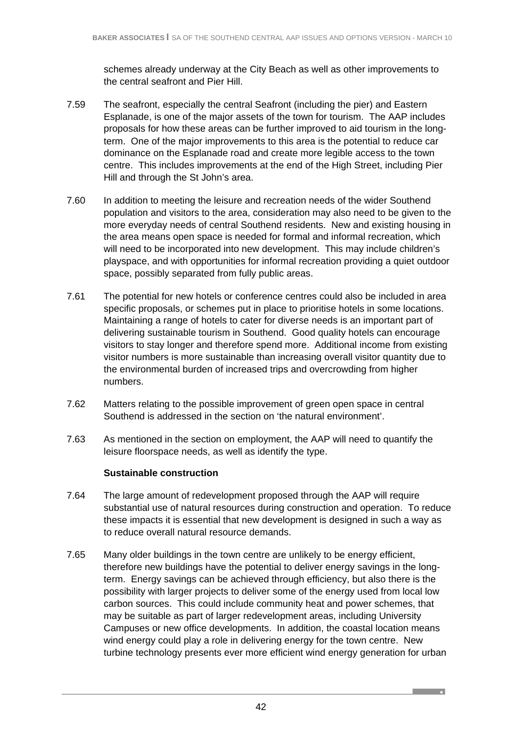schemes already underway at the City Beach as well as other improvements to the central seafront and Pier Hill.

- 7.59 The seafront, especially the central Seafront (including the pier) and Eastern Esplanade, is one of the major assets of the town for tourism. The AAP includes proposals for how these areas can be further improved to aid tourism in the longterm. One of the major improvements to this area is the potential to reduce car dominance on the Esplanade road and create more legible access to the town centre. This includes improvements at the end of the High Street, including Pier Hill and through the St John's area.
- 7.60 In addition to meeting the leisure and recreation needs of the wider Southend population and visitors to the area, consideration may also need to be given to the more everyday needs of central Southend residents. New and existing housing in the area means open space is needed for formal and informal recreation, which will need to be incorporated into new development. This may include children's playspace, and with opportunities for informal recreation providing a quiet outdoor space, possibly separated from fully public areas.
- 7.61 The potential for new hotels or conference centres could also be included in area specific proposals, or schemes put in place to prioritise hotels in some locations. Maintaining a range of hotels to cater for diverse needs is an important part of delivering sustainable tourism in Southend. Good quality hotels can encourage visitors to stay longer and therefore spend more. Additional income from existing visitor numbers is more sustainable than increasing overall visitor quantity due to the environmental burden of increased trips and overcrowding from higher numbers.
- 7.62 Matters relating to the possible improvement of green open space in central Southend is addressed in the section on 'the natural environment'.
- 7.63 As mentioned in the section on employment, the AAP will need to quantify the leisure floorspace needs, as well as identify the type.

### **Sustainable construction**

- 7.64 The large amount of redevelopment proposed through the AAP will require substantial use of natural resources during construction and operation. To reduce these impacts it is essential that new development is designed in such a way as to reduce overall natural resource demands.
- 7.65 Many older buildings in the town centre are unlikely to be energy efficient, therefore new buildings have the potential to deliver energy savings in the longterm. Energy savings can be achieved through efficiency, but also there is the possibility with larger projects to deliver some of the energy used from local low carbon sources. This could include community heat and power schemes, that may be suitable as part of larger redevelopment areas, including University Campuses or new office developments. In addition, the coastal location means wind energy could play a role in delivering energy for the town centre. New turbine technology presents ever more efficient wind energy generation for urban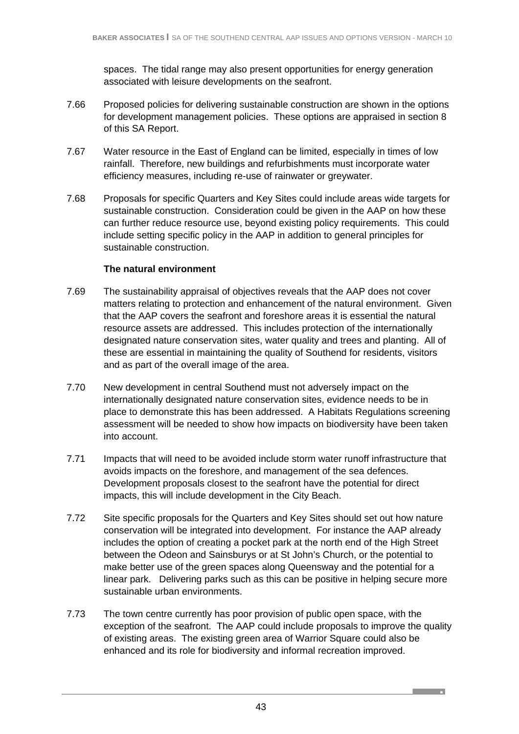spaces. The tidal range may also present opportunities for energy generation associated with leisure developments on the seafront.

- 7.66 Proposed policies for delivering sustainable construction are shown in the options for development management policies. These options are appraised in section 8 of this SA Report.
- 7.67 Water resource in the East of England can be limited, especially in times of low rainfall. Therefore, new buildings and refurbishments must incorporate water efficiency measures, including re-use of rainwater or greywater.
- 7.68 Proposals for specific Quarters and Key Sites could include areas wide targets for sustainable construction. Consideration could be given in the AAP on how these can further reduce resource use, beyond existing policy requirements. This could include setting specific policy in the AAP in addition to general principles for sustainable construction.

### **The natural environment**

- 7.69 The sustainability appraisal of objectives reveals that the AAP does not cover matters relating to protection and enhancement of the natural environment. Given that the AAP covers the seafront and foreshore areas it is essential the natural resource assets are addressed. This includes protection of the internationally designated nature conservation sites, water quality and trees and planting. All of these are essential in maintaining the quality of Southend for residents, visitors and as part of the overall image of the area.
- 7.70 New development in central Southend must not adversely impact on the internationally designated nature conservation sites, evidence needs to be in place to demonstrate this has been addressed. A Habitats Regulations screening assessment will be needed to show how impacts on biodiversity have been taken into account.
- 7.71 Impacts that will need to be avoided include storm water runoff infrastructure that avoids impacts on the foreshore, and management of the sea defences. Development proposals closest to the seafront have the potential for direct impacts, this will include development in the City Beach.
- 7.72 Site specific proposals for the Quarters and Key Sites should set out how nature conservation will be integrated into development. For instance the AAP already includes the option of creating a pocket park at the north end of the High Street between the Odeon and Sainsburys or at St John's Church, or the potential to make better use of the green spaces along Queensway and the potential for a linear park. Delivering parks such as this can be positive in helping secure more sustainable urban environments.
- 7.73 The town centre currently has poor provision of public open space, with the exception of the seafront. The AAP could include proposals to improve the quality of existing areas. The existing green area of Warrior Square could also be enhanced and its role for biodiversity and informal recreation improved.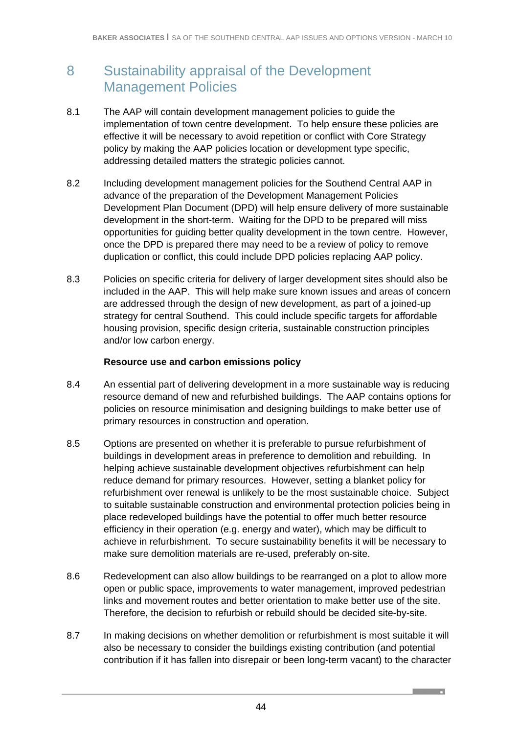# 8 Sustainability appraisal of the Development Management Policies

- 8.1 The AAP will contain development management policies to guide the implementation of town centre development. To help ensure these policies are effective it will be necessary to avoid repetition or conflict with Core Strategy policy by making the AAP policies location or development type specific, addressing detailed matters the strategic policies cannot.
- 8.2 Including development management policies for the Southend Central AAP in advance of the preparation of the Development Management Policies Development Plan Document (DPD) will help ensure delivery of more sustainable development in the short-term. Waiting for the DPD to be prepared will miss opportunities for guiding better quality development in the town centre. However, once the DPD is prepared there may need to be a review of policy to remove duplication or conflict, this could include DPD policies replacing AAP policy.
- 8.3 Policies on specific criteria for delivery of larger development sites should also be included in the AAP. This will help make sure known issues and areas of concern are addressed through the design of new development, as part of a joined-up strategy for central Southend. This could include specific targets for affordable housing provision, specific design criteria, sustainable construction principles and/or low carbon energy.

#### **Resource use and carbon emissions policy**

- 8.4 An essential part of delivering development in a more sustainable way is reducing resource demand of new and refurbished buildings. The AAP contains options for policies on resource minimisation and designing buildings to make better use of primary resources in construction and operation.
- 8.5 Options are presented on whether it is preferable to pursue refurbishment of buildings in development areas in preference to demolition and rebuilding. In helping achieve sustainable development objectives refurbishment can help reduce demand for primary resources. However, setting a blanket policy for refurbishment over renewal is unlikely to be the most sustainable choice. Subject to suitable sustainable construction and environmental protection policies being in place redeveloped buildings have the potential to offer much better resource efficiency in their operation (e.g. energy and water), which may be difficult to achieve in refurbishment. To secure sustainability benefits it will be necessary to make sure demolition materials are re-used, preferably on-site.
- 8.6 Redevelopment can also allow buildings to be rearranged on a plot to allow more open or public space, improvements to water management, improved pedestrian links and movement routes and better orientation to make better use of the site. Therefore, the decision to refurbish or rebuild should be decided site-by-site.
- 8.7 In making decisions on whether demolition or refurbishment is most suitable it will also be necessary to consider the buildings existing contribution (and potential contribution if it has fallen into disrepair or been long-term vacant) to the character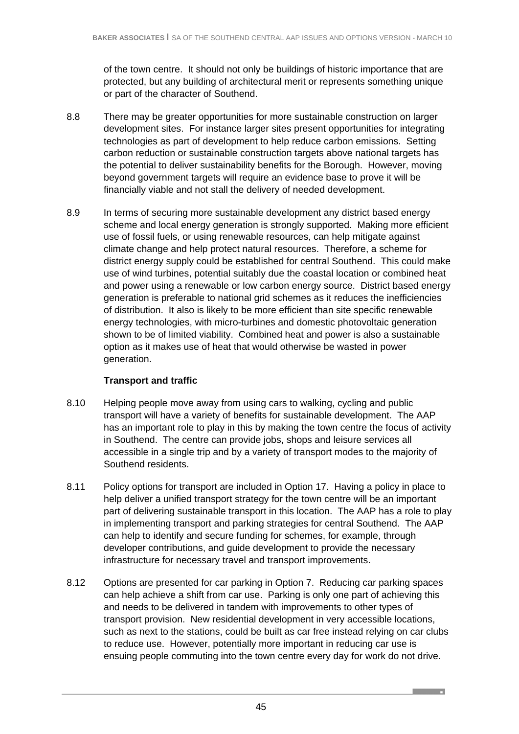of the town centre. It should not only be buildings of historic importance that are protected, but any building of architectural merit or represents something unique or part of the character of Southend.

- 8.8 There may be greater opportunities for more sustainable construction on larger development sites. For instance larger sites present opportunities for integrating technologies as part of development to help reduce carbon emissions. Setting carbon reduction or sustainable construction targets above national targets has the potential to deliver sustainability benefits for the Borough. However, moving beyond government targets will require an evidence base to prove it will be financially viable and not stall the delivery of needed development.
- 8.9 In terms of securing more sustainable development any district based energy scheme and local energy generation is strongly supported. Making more efficient use of fossil fuels, or using renewable resources, can help mitigate against climate change and help protect natural resources. Therefore, a scheme for district energy supply could be established for central Southend. This could make use of wind turbines, potential suitably due the coastal location or combined heat and power using a renewable or low carbon energy source. District based energy generation is preferable to national grid schemes as it reduces the inefficiencies of distribution. It also is likely to be more efficient than site specific renewable energy technologies, with micro-turbines and domestic photovoltaic generation shown to be of limited viability. Combined heat and power is also a sustainable option as it makes use of heat that would otherwise be wasted in power generation.

# **Transport and traffic**

- 8.10 Helping people move away from using cars to walking, cycling and public transport will have a variety of benefits for sustainable development. The AAP has an important role to play in this by making the town centre the focus of activity in Southend. The centre can provide jobs, shops and leisure services all accessible in a single trip and by a variety of transport modes to the majority of Southend residents.
- 8.11 Policy options for transport are included in Option 17. Having a policy in place to help deliver a unified transport strategy for the town centre will be an important part of delivering sustainable transport in this location. The AAP has a role to play in implementing transport and parking strategies for central Southend. The AAP can help to identify and secure funding for schemes, for example, through developer contributions, and guide development to provide the necessary infrastructure for necessary travel and transport improvements.
- 8.12 Options are presented for car parking in Option 7. Reducing car parking spaces can help achieve a shift from car use. Parking is only one part of achieving this and needs to be delivered in tandem with improvements to other types of transport provision. New residential development in very accessible locations, such as next to the stations, could be built as car free instead relying on car clubs to reduce use. However, potentially more important in reducing car use is ensuing people commuting into the town centre every day for work do not drive.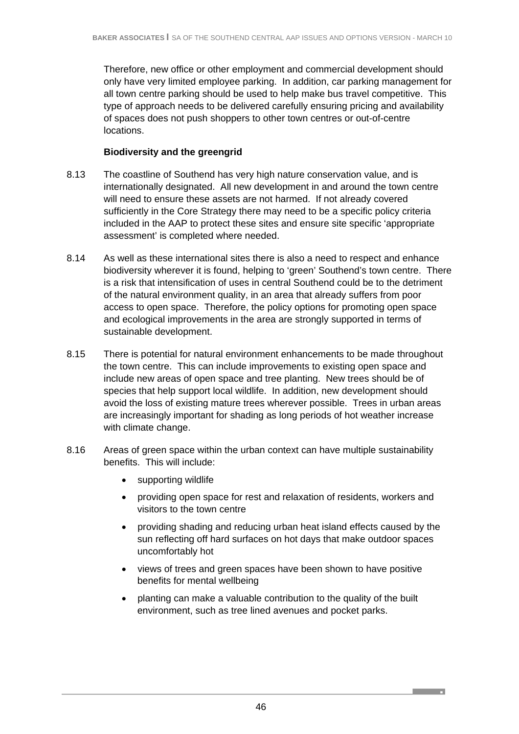Therefore, new office or other employment and commercial development should only have very limited employee parking. In addition, car parking management for all town centre parking should be used to help make bus travel competitive. This type of approach needs to be delivered carefully ensuring pricing and availability of spaces does not push shoppers to other town centres or out-of-centre locations.

### **Biodiversity and the greengrid**

- 8.13 The coastline of Southend has very high nature conservation value, and is internationally designated. All new development in and around the town centre will need to ensure these assets are not harmed. If not already covered sufficiently in the Core Strategy there may need to be a specific policy criteria included in the AAP to protect these sites and ensure site specific 'appropriate assessment' is completed where needed.
- 8.14 As well as these international sites there is also a need to respect and enhance biodiversity wherever it is found, helping to 'green' Southend's town centre. There is a risk that intensification of uses in central Southend could be to the detriment of the natural environment quality, in an area that already suffers from poor access to open space. Therefore, the policy options for promoting open space and ecological improvements in the area are strongly supported in terms of sustainable development.
- 8.15 There is potential for natural environment enhancements to be made throughout the town centre. This can include improvements to existing open space and include new areas of open space and tree planting. New trees should be of species that help support local wildlife. In addition, new development should avoid the loss of existing mature trees wherever possible. Trees in urban areas are increasingly important for shading as long periods of hot weather increase with climate change.
- 8.16 Areas of green space within the urban context can have multiple sustainability benefits. This will include:
	- supporting wildlife
	- providing open space for rest and relaxation of residents, workers and visitors to the town centre
	- providing shading and reducing urban heat island effects caused by the sun reflecting off hard surfaces on hot days that make outdoor spaces uncomfortably hot
	- views of trees and green spaces have been shown to have positive benefits for mental wellbeing
	- planting can make a valuable contribution to the quality of the built environment, such as tree lined avenues and pocket parks.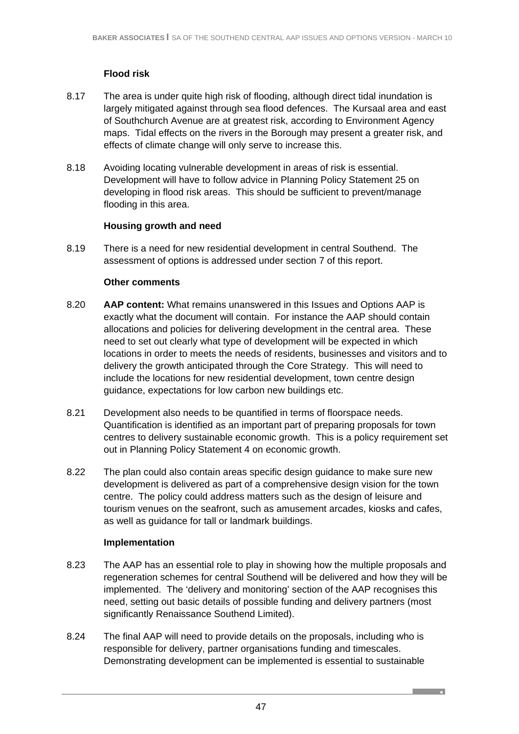# **Flood risk**

- 8.17 The area is under quite high risk of flooding, although direct tidal inundation is largely mitigated against through sea flood defences. The Kursaal area and east of Southchurch Avenue are at greatest risk, according to Environment Agency maps. Tidal effects on the rivers in the Borough may present a greater risk, and effects of climate change will only serve to increase this.
- 8.18 Avoiding locating vulnerable development in areas of risk is essential. Development will have to follow advice in Planning Policy Statement 25 on developing in flood risk areas. This should be sufficient to prevent/manage flooding in this area.

### **Housing growth and need**

8.19 There is a need for new residential development in central Southend. The assessment of options is addressed under section 7 of this report.

### **Other comments**

- 8.20 **AAP content:** What remains unanswered in this Issues and Options AAP is exactly what the document will contain. For instance the AAP should contain allocations and policies for delivering development in the central area. These need to set out clearly what type of development will be expected in which locations in order to meets the needs of residents, businesses and visitors and to delivery the growth anticipated through the Core Strategy. This will need to include the locations for new residential development, town centre design guidance, expectations for low carbon new buildings etc.
- 8.21 Development also needs to be quantified in terms of floorspace needs. Quantification is identified as an important part of preparing proposals for town centres to delivery sustainable economic growth. This is a policy requirement set out in Planning Policy Statement 4 on economic growth.
- 8.22 The plan could also contain areas specific design guidance to make sure new development is delivered as part of a comprehensive design vision for the town centre. The policy could address matters such as the design of leisure and tourism venues on the seafront, such as amusement arcades, kiosks and cafes, as well as guidance for tall or landmark buildings.

### **Implementation**

- 8.23 The AAP has an essential role to play in showing how the multiple proposals and regeneration schemes for central Southend will be delivered and how they will be implemented. The 'delivery and monitoring' section of the AAP recognises this need, setting out basic details of possible funding and delivery partners (most significantly Renaissance Southend Limited).
- 8.24 The final AAP will need to provide details on the proposals, including who is responsible for delivery, partner organisations funding and timescales. Demonstrating development can be implemented is essential to sustainable

**Contract Contract Contract**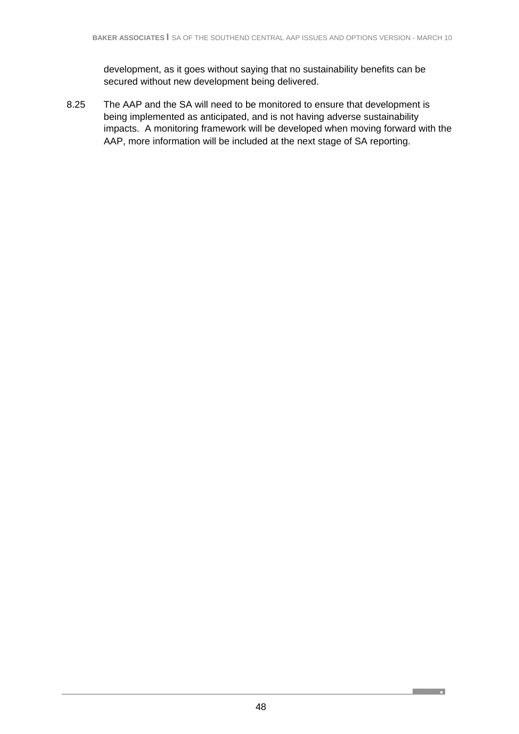development, as it goes without saying that no sustainability benefits can be secured without new development being delivered.

8.25 The AAP and the SA will need to be monitored to ensure that development is being implemented as anticipated, and is not having adverse sustainability impacts. A monitoring framework will be developed when moving forward with the AAP, more information will be included at the next stage of SA reporting.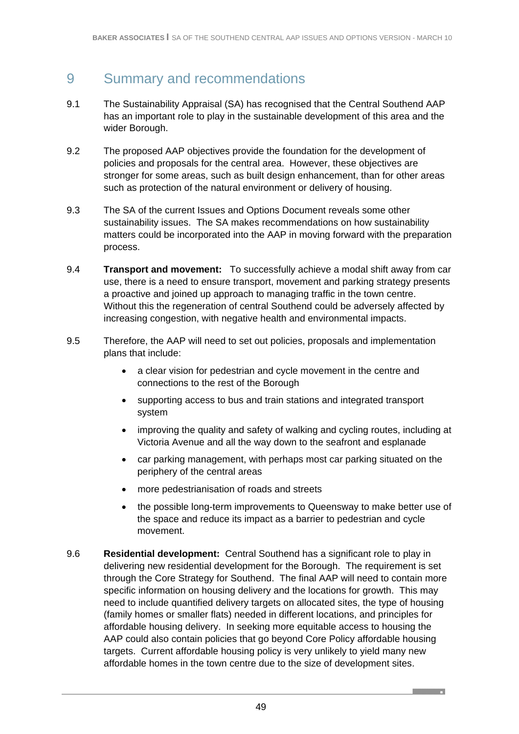# 9 Summary and recommendations

- 9.1 The Sustainability Appraisal (SA) has recognised that the Central Southend AAP has an important role to play in the sustainable development of this area and the wider Borough.
- 9.2 The proposed AAP objectives provide the foundation for the development of policies and proposals for the central area. However, these objectives are stronger for some areas, such as built design enhancement, than for other areas such as protection of the natural environment or delivery of housing.
- 9.3 The SA of the current Issues and Options Document reveals some other sustainability issues. The SA makes recommendations on how sustainability matters could be incorporated into the AAP in moving forward with the preparation process.
- 9.4 **Transport and movement:** To successfully achieve a modal shift away from car use, there is a need to ensure transport, movement and parking strategy presents a proactive and joined up approach to managing traffic in the town centre. Without this the regeneration of central Southend could be adversely affected by increasing congestion, with negative health and environmental impacts.
- 9.5 Therefore, the AAP will need to set out policies, proposals and implementation plans that include:
	- a clear vision for pedestrian and cycle movement in the centre and connections to the rest of the Borough
	- supporting access to bus and train stations and integrated transport system
	- improving the quality and safety of walking and cycling routes, including at Victoria Avenue and all the way down to the seafront and esplanade
	- car parking management, with perhaps most car parking situated on the periphery of the central areas
	- more pedestrianisation of roads and streets
	- the possible long-term improvements to Queensway to make better use of the space and reduce its impact as a barrier to pedestrian and cycle movement.
- 9.6 **Residential development:** Central Southend has a significant role to play in delivering new residential development for the Borough. The requirement is set through the Core Strategy for Southend. The final AAP will need to contain more specific information on housing delivery and the locations for growth. This may need to include quantified delivery targets on allocated sites, the type of housing (family homes or smaller flats) needed in different locations, and principles for affordable housing delivery. In seeking more equitable access to housing the AAP could also contain policies that go beyond Core Policy affordable housing targets. Current affordable housing policy is very unlikely to yield many new affordable homes in the town centre due to the size of development sites.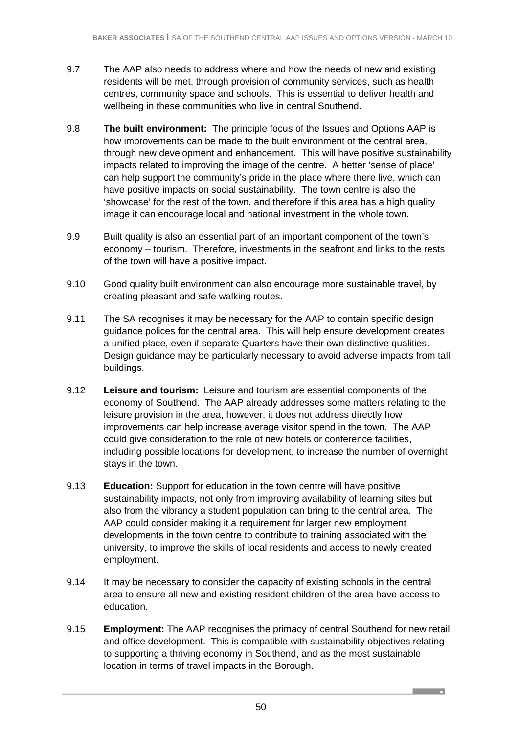- 9.7 The AAP also needs to address where and how the needs of new and existing residents will be met, through provision of community services, such as health centres, community space and schools. This is essential to deliver health and wellbeing in these communities who live in central Southend.
- 9.8 **The built environment:** The principle focus of the Issues and Options AAP is how improvements can be made to the built environment of the central area, through new development and enhancement. This will have positive sustainability impacts related to improving the image of the centre. A better 'sense of place' can help support the community's pride in the place where there live, which can have positive impacts on social sustainability. The town centre is also the 'showcase' for the rest of the town, and therefore if this area has a high quality image it can encourage local and national investment in the whole town.
- 9.9 Built quality is also an essential part of an important component of the town's economy – tourism. Therefore, investments in the seafront and links to the rests of the town will have a positive impact.
- 9.10 Good quality built environment can also encourage more sustainable travel, by creating pleasant and safe walking routes.
- 9.11 The SA recognises it may be necessary for the AAP to contain specific design guidance polices for the central area. This will help ensure development creates a unified place, even if separate Quarters have their own distinctive qualities. Design guidance may be particularly necessary to avoid adverse impacts from tall buildings.
- 9.12 **Leisure and tourism:** Leisure and tourism are essential components of the economy of Southend. The AAP already addresses some matters relating to the leisure provision in the area, however, it does not address directly how improvements can help increase average visitor spend in the town. The AAP could give consideration to the role of new hotels or conference facilities, including possible locations for development, to increase the number of overnight stays in the town.
- 9.13 **Education:** Support for education in the town centre will have positive sustainability impacts, not only from improving availability of learning sites but also from the vibrancy a student population can bring to the central area. The AAP could consider making it a requirement for larger new employment developments in the town centre to contribute to training associated with the university, to improve the skills of local residents and access to newly created employment.
- 9.14 It may be necessary to consider the capacity of existing schools in the central area to ensure all new and existing resident children of the area have access to education.
- 9.15 **Employment:** The AAP recognises the primacy of central Southend for new retail and office development. This is compatible with sustainability objectives relating to supporting a thriving economy in Southend, and as the most sustainable location in terms of travel impacts in the Borough.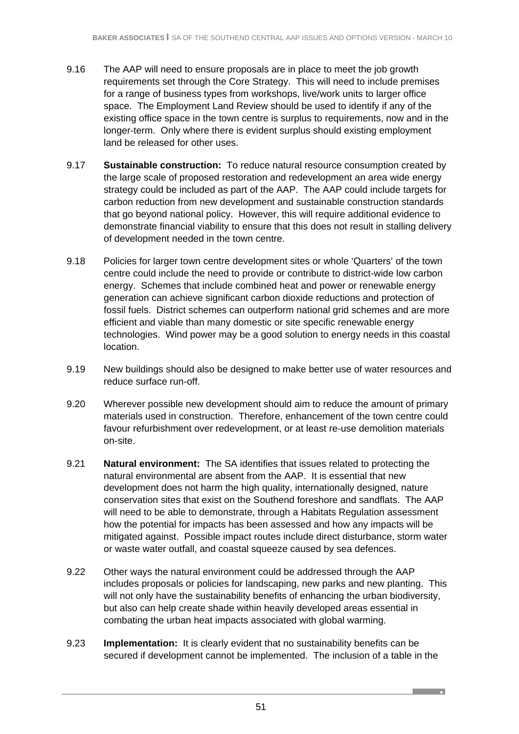- 9.16 The AAP will need to ensure proposals are in place to meet the job growth requirements set through the Core Strategy. This will need to include premises for a range of business types from workshops, live/work units to larger office space. The Employment Land Review should be used to identify if any of the existing office space in the town centre is surplus to requirements, now and in the longer-term. Only where there is evident surplus should existing employment land be released for other uses.
- 9.17 **Sustainable construction:** To reduce natural resource consumption created by the large scale of proposed restoration and redevelopment an area wide energy strategy could be included as part of the AAP. The AAP could include targets for carbon reduction from new development and sustainable construction standards that go beyond national policy. However, this will require additional evidence to demonstrate financial viability to ensure that this does not result in stalling delivery of development needed in the town centre.
- 9.18 Policies for larger town centre development sites or whole 'Quarters' of the town centre could include the need to provide or contribute to district-wide low carbon energy. Schemes that include combined heat and power or renewable energy generation can achieve significant carbon dioxide reductions and protection of fossil fuels. District schemes can outperform national grid schemes and are more efficient and viable than many domestic or site specific renewable energy technologies. Wind power may be a good solution to energy needs in this coastal location.
- 9.19 New buildings should also be designed to make better use of water resources and reduce surface run-off.
- 9.20 Wherever possible new development should aim to reduce the amount of primary materials used in construction. Therefore, enhancement of the town centre could favour refurbishment over redevelopment, or at least re-use demolition materials on-site.
- 9.21 **Natural environment:** The SA identifies that issues related to protecting the natural environmental are absent from the AAP. It is essential that new development does not harm the high quality, internationally designed, nature conservation sites that exist on the Southend foreshore and sandflats. The AAP will need to be able to demonstrate, through a Habitats Regulation assessment how the potential for impacts has been assessed and how any impacts will be mitigated against. Possible impact routes include direct disturbance, storm water or waste water outfall, and coastal squeeze caused by sea defences.
- 9.22 Other ways the natural environment could be addressed through the AAP includes proposals or policies for landscaping, new parks and new planting. This will not only have the sustainability benefits of enhancing the urban biodiversity, but also can help create shade within heavily developed areas essential in combating the urban heat impacts associated with global warming.
- 9.23 **Implementation:** It is clearly evident that no sustainability benefits can be secured if development cannot be implemented. The inclusion of a table in the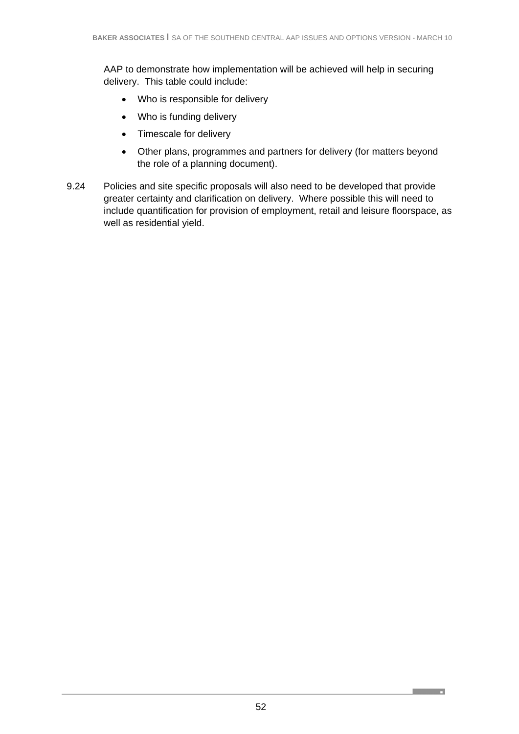AAP to demonstrate how implementation will be achieved will help in securing delivery. This table could include:

- Who is responsible for delivery
- Who is funding delivery
- Timescale for delivery
- Other plans, programmes and partners for delivery (for matters beyond the role of a planning document).
- 9.24 Policies and site specific proposals will also need to be developed that provide greater certainty and clarification on delivery. Where possible this will need to include quantification for provision of employment, retail and leisure floorspace, as well as residential yield.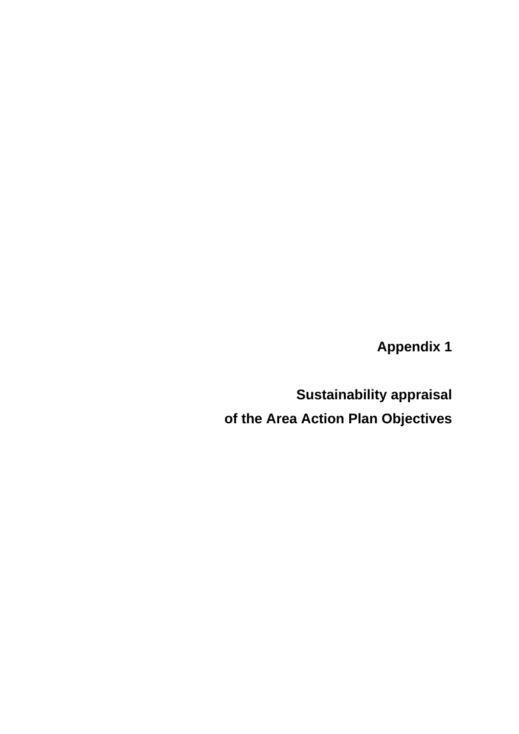**Appendix 1** 

**Sustainability appraisal of the Area Action Plan Objectives**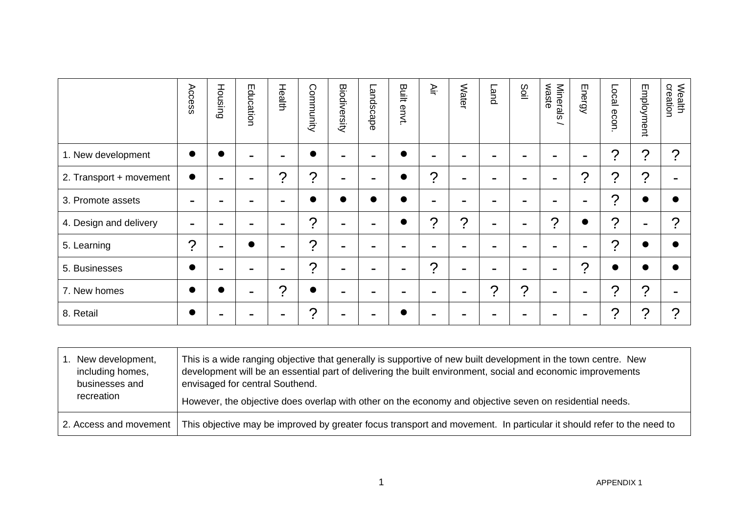|                         | Access                | Housing               | Education | Health                | Community             | Biodiversity | Landscape | Built<br>envt. | Ψır            | Water | Land         | Soil                  | waste<br><b>Minerals</b> | Energy                | Local<br>econ         | Employment            | Wealth<br>creation    |
|-------------------------|-----------------------|-----------------------|-----------|-----------------------|-----------------------|--------------|-----------|----------------|----------------|-------|--------------|-----------------------|--------------------------|-----------------------|-----------------------|-----------------------|-----------------------|
| 1. New development      | $\bullet$             |                       | -         | $\blacksquare$        |                       |              | -         |                | $\blacksquare$ | -     | -            | -                     | $\blacksquare$           | $\blacksquare$        | $\boldsymbol{\gamma}$ | ?                     | $\boldsymbol{\gamma}$ |
| 2. Transport + movement | $\bullet$             | $\tilde{\phantom{a}}$ | -         | $\boldsymbol{\gamma}$ | $\overline{?}$        |              | -         |                | ?              | -     | -            | -                     | $\blacksquare$           | $\boldsymbol{\gamma}$ | ?                     | $\boldsymbol{\gamma}$ |                       |
| 3. Promote assets       | ۰.                    | -                     | -         | $\blacksquare$        |                       |              |           |                | $\blacksquare$ | ۰.    | -            | -                     | $\blacksquare$           | ۰                     | $\boldsymbol{\gamma}$ |                       |                       |
| 4. Design and delivery  | ۰                     | -                     |           | $\blacksquare$        | ?                     |              |           |                | ?              | ?     | ۰.           | -                     | $\boldsymbol{\gamma}$    | $\bullet$             | ?                     |                       | $\boldsymbol{\gamma}$ |
| 5. Learning             | $\boldsymbol{\gamma}$ | $\blacksquare$        |           | $\blacksquare$        | ?                     | -            |           |                | $\blacksquare$ | -     | -            |                       | $\blacksquare$           | ۰                     | $\boldsymbol{\gamma}$ |                       |                       |
| 5. Businesses           | $\bullet$             | -                     | -         | $\blacksquare$        | ?                     | -            |           |                | 2              | -     | -            | -                     | $\overline{\phantom{a}}$ | $\mathcal{P}$         | 0                     |                       |                       |
| 7. New homes            | $\bullet$             |                       | -         | $\boldsymbol{\gamma}$ | $\bullet$             |              | -         |                | $\blacksquare$ | -     | $\mathcal P$ | $\boldsymbol{\gamma}$ | $\blacksquare$           | $\blacksquare$        | ?                     | $\boldsymbol{\gamma}$ |                       |
| 8. Retail               | $\bullet$             | -                     |           | $\blacksquare$        | $\boldsymbol{\gamma}$ |              |           |                | -              | -     | -            |                       | -                        | -                     | ?                     | ?                     | $\boldsymbol{\gamma}$ |

| New development,       | This is a wide ranging objective that generally is supportive of new built development in the town centre. New       |
|------------------------|----------------------------------------------------------------------------------------------------------------------|
| including homes,       | development will be an essential part of delivering the built environment, social and economic improvements          |
| businesses and         | envisaged for central Southend.                                                                                      |
| recreation             | However, the objective does overlap with other on the economy and objective seven on residential needs.              |
| 2. Access and movement | This objective may be improved by greater focus transport and movement. In particular it should refer to the need to |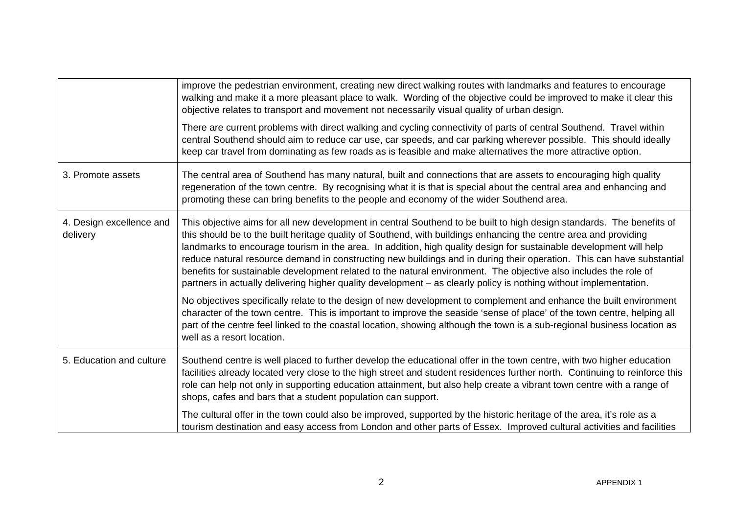|                                      | improve the pedestrian environment, creating new direct walking routes with landmarks and features to encourage<br>walking and make it a more pleasant place to walk. Wording of the objective could be improved to make it clear this<br>objective relates to transport and movement not necessarily visual quality of urban design.                                                                                                                                                                                                                                                                                                                                                                                             |
|--------------------------------------|-----------------------------------------------------------------------------------------------------------------------------------------------------------------------------------------------------------------------------------------------------------------------------------------------------------------------------------------------------------------------------------------------------------------------------------------------------------------------------------------------------------------------------------------------------------------------------------------------------------------------------------------------------------------------------------------------------------------------------------|
|                                      | There are current problems with direct walking and cycling connectivity of parts of central Southend. Travel within<br>central Southend should aim to reduce car use, car speeds, and car parking wherever possible. This should ideally<br>keep car travel from dominating as few roads as is feasible and make alternatives the more attractive option.                                                                                                                                                                                                                                                                                                                                                                         |
| 3. Promote assets                    | The central area of Southend has many natural, built and connections that are assets to encouraging high quality<br>regeneration of the town centre. By recognising what it is that is special about the central area and enhancing and<br>promoting these can bring benefits to the people and economy of the wider Southend area.                                                                                                                                                                                                                                                                                                                                                                                               |
| 4. Design excellence and<br>delivery | This objective aims for all new development in central Southend to be built to high design standards. The benefits of<br>this should be to the built heritage quality of Southend, with buildings enhancing the centre area and providing<br>landmarks to encourage tourism in the area. In addition, high quality design for sustainable development will help<br>reduce natural resource demand in constructing new buildings and in during their operation. This can have substantial<br>benefits for sustainable development related to the natural environment. The objective also includes the role of<br>partners in actually delivering higher quality development – as clearly policy is nothing without implementation. |
|                                      | No objectives specifically relate to the design of new development to complement and enhance the built environment<br>character of the town centre. This is important to improve the seaside 'sense of place' of the town centre, helping all<br>part of the centre feel linked to the coastal location, showing although the town is a sub-regional business location as<br>well as a resort location.                                                                                                                                                                                                                                                                                                                           |
| 5. Education and culture             | Southend centre is well placed to further develop the educational offer in the town centre, with two higher education<br>facilities already located very close to the high street and student residences further north. Continuing to reinforce this<br>role can help not only in supporting education attainment, but also help create a vibrant town centre with a range of<br>shops, cafes and bars that a student population can support.                                                                                                                                                                                                                                                                                     |
|                                      | The cultural offer in the town could also be improved, supported by the historic heritage of the area, it's role as a<br>tourism destination and easy access from London and other parts of Essex. Improved cultural activities and facilities                                                                                                                                                                                                                                                                                                                                                                                                                                                                                    |